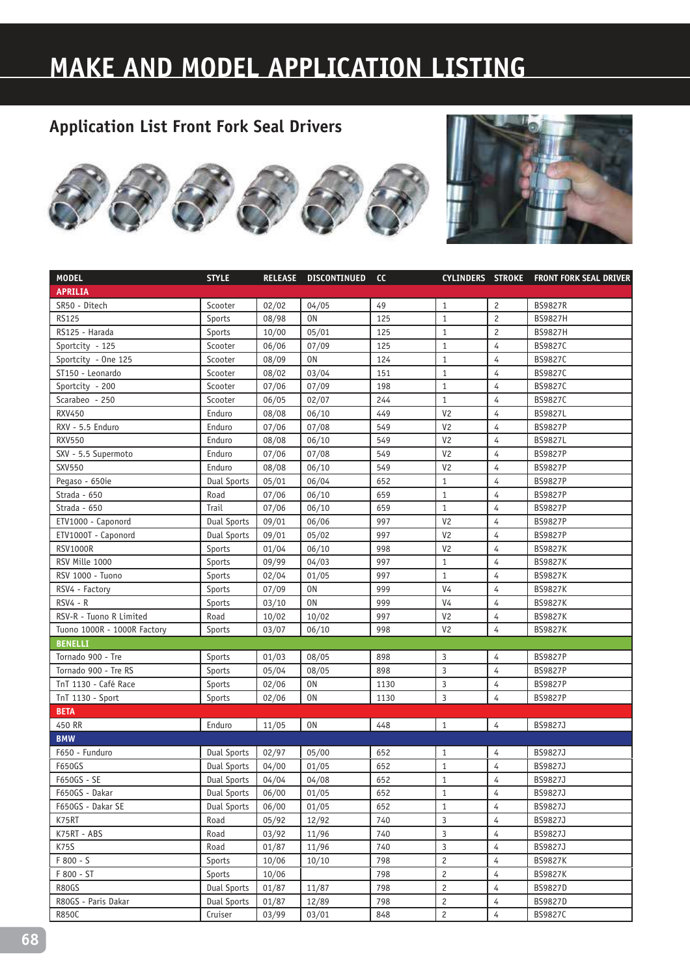# **MAKE AND MODEL APPLICATION LISTING**





| <b>MODEL</b>                | <b>STYLE</b>       | <b>RELEASE</b> | <b>DISCONTINUED</b> | cc   |                |                | CYLINDERS STROKE FRONT FORK SEAL DRIVER |
|-----------------------------|--------------------|----------------|---------------------|------|----------------|----------------|-----------------------------------------|
| <b>APRILIA</b>              |                    |                |                     |      |                |                |                                         |
| SR50 - Ditech               | Scooter            | 02/02          | 04/05               | 49   | $\mathbf{1}$   | 2              | <b>BS9827R</b>                          |
| <b>RS125</b>                | Sports             | 08/98          | 0 <sub>N</sub>      | 125  | $\mathbf{1}$   | $\overline{c}$ | <b>BS9827H</b>                          |
| RS125 - Harada              | Sports             | 10/00          | 05/01               | 125  | $\mathbf{1}$   | $\overline{c}$ | <b>BS9827H</b>                          |
| Sportcity - 125             | Scooter            | 06/06          | 07/09               | 125  | $\mathbf{1}$   | 4              | BS9827C                                 |
| Sportcity - One 125         | Scooter            | 08/09          | 0N                  | 124  | $\mathbf{1}$   | 4              | BS9827C                                 |
| ST150 - Leonardo            | Scooter            | 08/02          | 03/04               | 151  | $\mathbf{1}$   | 4              | BS9827C                                 |
| Sportcity - 200             | Scooter            | 07/06          | 07/09               | 198  | $\mathbf{1}$   | 4              | BS9827C                                 |
| Scarabeo - 250              | Scooter            | 06/05          | 02/07               | 244  | $\mathbf{1}$   | 4              | BS9827C                                 |
| <b>RXV450</b>               | Enduro             | 08/08          | 06/10               | 449  | V <sub>2</sub> | 4              | BS9827L                                 |
| RXV - 5.5 Enduro            | Enduro             | 07/06          | 07/08               | 549  | V <sub>2</sub> | 4              | <b>BS9827P</b>                          |
| <b>RXV550</b>               | Enduro             | 08/08          | 06/10               | 549  | V <sub>2</sub> | 4              | <b>BS9827L</b>                          |
| SXV - 5.5 Supermoto         | Enduro             | 07/06          | 07/08               | 549  | V <sub>2</sub> | 4              | <b>BS9827P</b>                          |
| <b>SXV550</b>               | Enduro             | 08/08          | 06/10               | 549  | V <sub>2</sub> | 4              | <b>BS9827P</b>                          |
| Pegaso - 650ie              | Dual Sports        | 05/01          | 06/04               | 652  | $\mathbf{1}$   | $\overline{4}$ | <b>BS9827P</b>                          |
| Strada - 650                | Road               | 07/06          | 06/10               | 659  | $1\,$          | $\overline{4}$ | <b>BS9827P</b>                          |
| Strada - 650                | Trail              | 07/06          | 06/10               | 659  | $\mathbf{1}$   | $\overline{4}$ | <b>BS9827P</b>                          |
| ETV1000 - Caponord          | Dual Sports        | 09/01          | 06/06               | 997  | V <sub>2</sub> | $\overline{4}$ | <b>BS9827P</b>                          |
| ETV1000T - Caponord         | <b>Dual Sports</b> | 09/01          | 05/02               | 997  | V <sub>2</sub> | 4              | <b>BS9827P</b>                          |
| <b>RSV1000R</b>             | Sports             | 01/04          | 06/10               | 998  | V <sub>2</sub> | 4              | <b>BS9827K</b>                          |
| RSV Mille 1000              | Sports             | 09/99          | 04/03               | 997  | $\mathbf{1}$   | 4              | <b>BS9827K</b>                          |
| RSV 1000 - Tuono            | Sports             | 02/04          | 01/05               | 997  | $\mathbf{1}$   | 4              | <b>BS9827K</b>                          |
| RSV4 - Factory              | Sports             | 07/09          | 0N                  | 999  | V <sub>4</sub> | 4              | <b>BS9827K</b>                          |
| $RSV4 - R$                  | Sports             | 03/10          | 0N                  | 999  | V <sub>4</sub> | 4              | <b>BS9827K</b>                          |
| RSV-R - Tuono R Limited     | Road               | 10/02          | 10/02               | 997  | V <sub>2</sub> | 4              | <b>BS9827K</b>                          |
| Tuono 1000R - 1000R Factory | Sports             | 03/07          | 06/10               | 998  | V <sub>2</sub> | 4              | <b>BS9827K</b>                          |
| <b>BENELLI</b>              |                    |                |                     |      |                |                |                                         |
| Tornado 900 - Tre           | Sports             | 01/03          | 08/05               | 898  | 3              | 4              | <b>BS9827P</b>                          |
| Tornado 900 - Tre RS        | Sports             | 05/04          | 08/05               | 898  | 3              | 4              | <b>BS9827P</b>                          |
| TnT 1130 - Café Race        | Sports             | 02/06          | 0N                  | 1130 | 3              | 4              | <b>BS9827P</b>                          |
| TnT 1130 - Sport            | Sports             | 02/06          | 0N                  | 1130 | 3              | $\overline{4}$ | <b>BS9827P</b>                          |
| <b>BETA</b>                 |                    |                |                     |      |                |                |                                         |
| 450 RR                      | Enduro             | 11/05          | 0N                  | 448  | $\mathbf{1}$   | 4              | BS9827J                                 |
| <b>BMW</b>                  |                    |                |                     |      |                |                |                                         |
| F650 - Funduro              | <b>Dual Sports</b> | 02/97          | 05/00               | 652  | 1              | 4              | BS9827J                                 |
| F650GS                      | <b>Dual Sports</b> | 04/00          | 01/05               | 652  | $\mathbf{1}$   | 4              | BS9827J                                 |
| F650GS - SE                 | Dual Sports        | 04/04          | 04/08               | 652  | $\mathbf{1}$   | $\overline{4}$ | BS9827J                                 |
| F650GS - Dakar              | <b>Dual Sports</b> | 06/00          | 01/05               | 652  | $\mathbf{1}$   | 4              | BS9827J                                 |
| F650GS - Dakar SE           | <b>Dual Sports</b> | 06/00          | 01/05               | 652  | $\mathbf{1}$   | 4              | BS9827J                                 |
| K75RT                       | Road               | 05/92          | 12/92               | 740  | 3              | 4              | BS9827J                                 |
| K75RT - ABS                 | Road               | 03/92          | 11/96               | 740  | 3              | 4              | BS9827J                                 |
| K75S                        | Road               | 01/87          | 11/96               | 740  | 3              | 4              | BS9827J                                 |
| F 800 - S                   | Sports             | 10/06          | 10/10               | 798  | $\overline{c}$ | 4              | <b>BS9827K</b>                          |
| F 800 - ST                  | Sports             | 10/06          |                     | 798  | $\overline{c}$ | 4              | <b>BS9827K</b>                          |
| R80GS                       | <b>Dual Sports</b> | 01/87          | 11/87               | 798  | $\overline{c}$ | 4              | <b>BS9827D</b>                          |
| R80GS - Paris Dakar         | <b>Dual Sports</b> | 01/87          | 12/89               | 798  | $\overline{c}$ | 4              | <b>BS9827D</b>                          |
| <b>R850C</b>                | Cruiser            | 03/99          | 03/01               | 848  | $\overline{c}$ | 4              | BS9827C                                 |
|                             |                    |                |                     |      |                |                |                                         |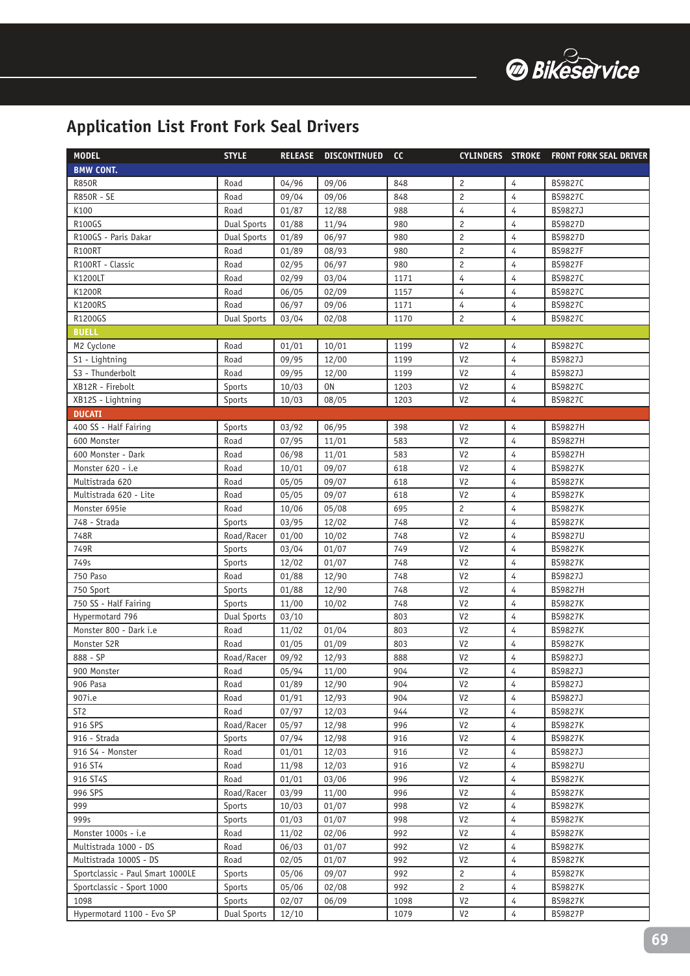

| <b>MODEL</b>                     | <b>STYLE</b>       | <b>RELEASE</b> | <b>DISCONTINUED</b> | cc   | <b>CYLINDERS STROKE</b> |                | <b>FRONT FORK SEAL DRIVER</b> |
|----------------------------------|--------------------|----------------|---------------------|------|-------------------------|----------------|-------------------------------|
| <b>BMW CONT.</b>                 |                    |                |                     |      |                         |                |                               |
| <b>R850R</b>                     | Road               | 04/96          | 09/06               | 848  | $\overline{c}$          | 4              | BS9827C                       |
| R850R - SE                       | Road               | 09/04          | 09/06               | 848  | $\overline{c}$          | 4              | BS9827C                       |
| K100                             | Road               | 01/87          | 12/88               | 988  | $\overline{4}$          | 4              | BS9827J                       |
| <b>R100GS</b>                    | <b>Dual Sports</b> | 01/88          | 11/94               | 980  | $\overline{c}$          | 4              | BS9827D                       |
| R100GS - Paris Dakar             | <b>Dual Sports</b> | 01/89          | 06/97               | 980  | $\overline{c}$          | $\overline{4}$ | BS9827D                       |
| <b>R100RT</b>                    | Road               | 01/89          | 08/93               | 980  | $\overline{c}$          | 4              | <b>BS9827F</b>                |
| R100RT - Classic                 | Road               | 02/95          | 06/97               | 980  | $\overline{c}$          | 4              | <b>BS9827F</b>                |
| K1200LT                          | Road               | 02/99          | 03/04               | 1171 | $\overline{4}$          | $\overline{4}$ | BS9827C                       |
| K1200R                           | Road               | 06/05          | 02/09               | 1157 | $\overline{4}$          | $\overline{4}$ | BS9827C                       |
| K1200RS                          | Road               | 06/97          | 09/06               | 1171 | $\overline{4}$          | 4              | BS9827C                       |
| R1200GS                          | <b>Dual Sports</b> | 03/04          | 02/08               | 1170 | $\overline{c}$          | $\overline{4}$ | BS9827C                       |
| <b>BUELL</b>                     |                    |                |                     |      |                         |                |                               |
| M2 Cyclone                       | Road               | 01/01          | 10/01               | 1199 | V <sub>2</sub>          | 4              | BS9827C                       |
| S1 - Lightning                   | Road               | 09/95          | 12/00               | 1199 | V <sub>2</sub>          | $\overline{4}$ | BS9827J                       |
| S3 - Thunderbolt                 | Road               | 09/95          | 12/00               | 1199 | V <sub>2</sub>          | $\overline{4}$ | BS9827J                       |
| XB12R - Firebolt                 | Sports             | 10/03          | <b>ON</b>           | 1203 | V <sub>2</sub>          | 4              | BS9827C                       |
| XB12S - Lightning                | Sports             | 10/03          | 08/05               | 1203 | V <sub>2</sub>          | 4              | BS9827C                       |
| <b>DUCATI</b>                    |                    |                |                     |      |                         |                |                               |
| 400 SS - Half Fairing            | Sports             | 03/92          | 06/95               | 398  | V <sub>2</sub>          | 4              | <b>BS9827H</b>                |
| 600 Monster                      | Road               | 07/95          | 11/01               | 583  | V <sub>2</sub>          | 4              | <b>BS9827H</b>                |
| 600 Monster - Dark               | Road               | 06/98          | 11/01               | 583  | V <sub>2</sub>          | 4              | <b>BS9827H</b>                |
| Monster 620 - i.e                | Road               | 10/01          | 09/07               | 618  | V <sub>2</sub>          | 4              | <b>BS9827K</b>                |
| Multistrada 620                  | Road               | 05/05          | 09/07               | 618  | V <sub>2</sub>          | 4              | <b>BS9827K</b>                |
| Multistrada 620 - Lite           | Road               | 05/05          | 09/07               | 618  | V <sub>2</sub>          | 4              | <b>BS9827K</b>                |
| Monster 695ie                    | Road               | 10/06          | 05/08               | 695  | $\overline{c}$          | 4              | <b>BS9827K</b>                |
| 748 - Strada                     | Sports             | 03/95          | 12/02               | 748  | V <sub>2</sub>          | 4              | <b>BS9827K</b>                |
| 748R                             | Road/Racer         | 01/00          | 10/02               | 748  | V <sub>2</sub>          | 4              | <b>BS9827U</b>                |
| 749R                             | Sports             | 03/04          | 01/07               | 749  | V <sub>2</sub>          | 4              | <b>BS9827K</b>                |
| 749s                             | Sports             | 12/02          | 01/07               | 748  | V <sub>2</sub>          | 4              | <b>BS9827K</b>                |
| 750 Paso                         | Road               | 01/88          | 12/90               | 748  | V <sub>2</sub>          | 4              | BS9827J                       |
| 750 Sport                        | Sports             | 01/88          | 12/90               | 748  | V <sub>2</sub>          | 4              | BS9827H                       |
| 750 SS - Half Fairing            | Sports             | 11/00          | 10/02               | 748  | V <sub>2</sub>          | 4              | <b>BS9827K</b>                |
| Hypermotard 796                  | <b>Dual Sports</b> | 03/10          |                     | 803  | V <sub>2</sub>          | 4              | <b>BS9827K</b>                |
| Monster 800 - Dark i.e           | Road               | 11/02          | 01/04               | 803  | V <sub>2</sub>          | 4              | <b>BS9827K</b>                |
| Monster S2R                      | Road               | 01/05          | 01/09               | 803  | V <sub>2</sub>          | 4              | <b>BS9827K</b>                |
| 888 - SP                         | Road/Racer         | 09/92          | 12/93               | 888  | V <sub>2</sub>          | 4              | BS9827J                       |
| 900 Monster                      | Road               | 05/94          | 11/00               | 904  | V <sub>2</sub>          | 4              | BS9827J                       |
| 906 Pasa                         | Road               | 01/89          | 12/90               | 904  | V <sub>2</sub>          | 4              | BS9827J                       |
| 907i.e                           | Road               | 01/91          | 12/93               | 904  | V <sub>2</sub>          | 4              | BS9827J                       |
| ST <sub>2</sub>                  | Road               | 07/97          | 12/03               | 944  | V <sub>2</sub>          | 4              | <b>BS9827K</b>                |
| 916 SPS                          | Road/Racer         | 05/97          | 12/98               | 996  | V <sub>2</sub>          | 4              | <b>BS9827K</b>                |
| 916 - Strada                     | Sports             | 07/94          | 12/98               | 916  | V <sub>2</sub>          | 4              | <b>BS9827K</b>                |
| 916 S4 - Monster                 | Road               | 01/01          | 12/03               | 916  | V <sub>2</sub>          | 4              | BS9827J                       |
| 916 ST4                          | Road               | 11/98          | 12/03               | 916  | V <sub>2</sub>          | 4              | <b>BS9827U</b>                |
| 916 ST4S                         | Road               | 01/01          | 03/06               | 996  | V <sub>2</sub>          | 4              | <b>BS9827K</b>                |
| 996 SPS                          | Road/Racer         | 03/99          | 11/00               | 996  | V <sub>2</sub>          | 4              | <b>BS9827K</b>                |
| 999                              | Sports             | 10/03          | 01/07               | 998  | V <sub>2</sub>          | 4              | <b>BS9827K</b>                |
| 999s                             | Sports             | 01/03          | 01/07               | 998  | V <sub>2</sub>          | 4              | <b>BS9827K</b>                |
| Monster 1000s - i.e              | Road               | 11/02          | 02/06               | 992  | V <sub>2</sub>          | 4              | <b>BS9827K</b>                |
| Multistrada 1000 - DS            | Road               | 06/03          | 01/07               | 992  | V <sub>2</sub>          | 4              | <b>BS9827K</b>                |
| Multistrada 1000S - DS           | Road               | 02/05          | 01/07               | 992  | V <sub>2</sub>          | 4              | <b>BS9827K</b>                |
| Sportclassic - Paul Smart 1000LE | Sports             | 05/06          | 09/07               | 992  | $\mathbf{2}$            | 4              | <b>BS9827K</b>                |
| Sportclassic - Sport 1000        | Sports             | 05/06          | 02/08               | 992  | $\mathbf{2}$            | 4              | <b>BS9827K</b>                |
| 1098                             | Sports             | 02/07          | 06/09               | 1098 | V <sub>2</sub>          | 4              | <b>BS9827K</b>                |
| Hypermotard 1100 - Evo SP        | <b>Dual Sports</b> | 12/10          |                     | 1079 | V <sub>2</sub>          | 4              | <b>BS9827P</b>                |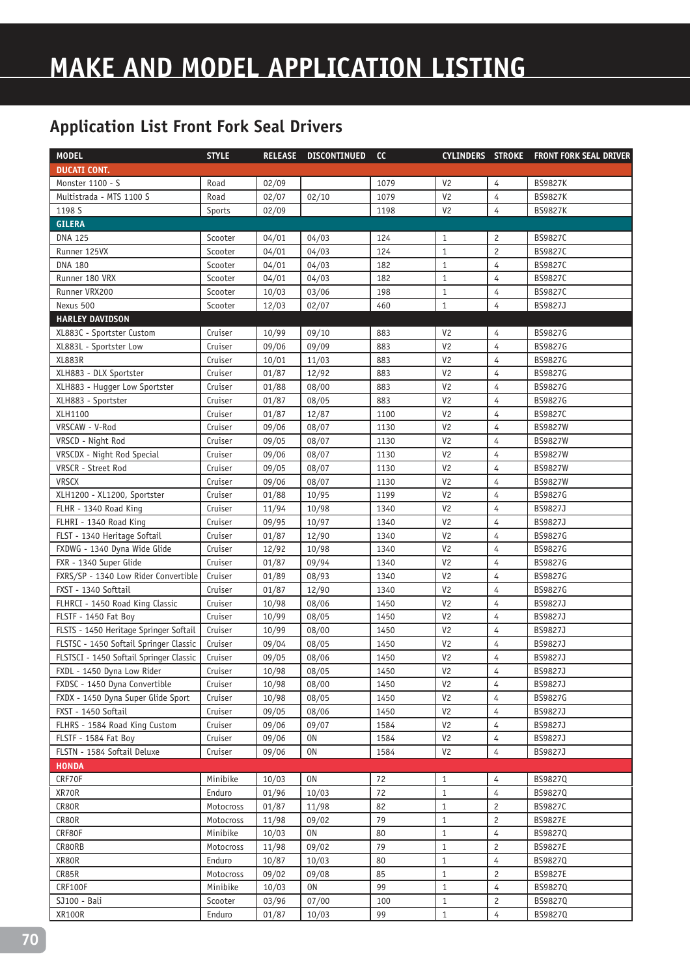| <b>MODEL</b>                            | <b>STYLE</b> |       | RELEASE DISCONTINUED | cc   |                |                | CYLINDERS STROKE FRONT FORK SEAL DRIVER |
|-----------------------------------------|--------------|-------|----------------------|------|----------------|----------------|-----------------------------------------|
| <b>DUCATI CONT.</b>                     |              |       |                      |      |                |                |                                         |
| Monster 1100 - S                        | Road         | 02/09 |                      | 1079 | V <sub>2</sub> | 4              | <b>BS9827K</b>                          |
| Multistrada - MTS 1100 S                | Road         | 02/07 | 02/10                | 1079 | V <sub>2</sub> | 4              | <b>BS9827K</b>                          |
| 1198 S                                  | Sports       | 02/09 |                      | 1198 | V <sub>2</sub> | 4              | <b>BS9827K</b>                          |
| <b>GILERA</b>                           |              |       |                      |      |                |                |                                         |
| <b>DNA 125</b>                          | Scooter      | 04/01 | 04/03                | 124  | $\mathbf{1}$   | $\overline{c}$ | BS9827C                                 |
| Runner 125VX                            | Scooter      | 04/01 | 04/03                | 124  | $\mathbf{1}$   | $\overline{c}$ | BS9827C                                 |
| <b>DNA 180</b>                          | Scooter      | 04/01 | 04/03                | 182  | $\mathbf{1}$   | 4              | BS9827C                                 |
| Runner 180 VRX                          | Scooter      | 04/01 | 04/03                | 182  | $\mathbf{1}$   | 4              | BS9827C                                 |
| Runner VRX200                           | Scooter      | 10/03 | 03/06                | 198  | $\mathbf{1}$   | 4              | BS9827C                                 |
| Nexus 500                               | Scooter      | 12/03 | 02/07                | 460  | $\mathbf{1}$   | $\overline{4}$ | BS9827J                                 |
| <b>HARLEY DAVIDSON</b>                  |              |       |                      |      |                |                |                                         |
| XL883C - Sportster Custom               | Cruiser      | 10/99 | 09/10                | 883  | V <sub>2</sub> | 4              | BS9827G                                 |
| XL883L - Sportster Low                  | Cruiser      | 09/06 | 09/09                | 883  | V <sub>2</sub> | $\overline{4}$ | BS9827G                                 |
| <b>XL883R</b>                           | Cruiser      | 10/01 | 11/03                | 883  | V <sub>2</sub> | 4              | BS9827G                                 |
| XLH883 - DLX Sportster                  | Cruiser      | 01/87 | 12/92                | 883  | V <sub>2</sub> | 4              | BS9827G                                 |
| XLH883 - Hugger Low Sportster           | Cruiser      | 01/88 | 08/00                | 883  | V <sub>2</sub> | $\overline{4}$ | BS9827G                                 |
| XLH883 - Sportster                      | Cruiser      | 01/87 | 08/05                | 883  | V <sub>2</sub> | $\overline{4}$ | BS9827G                                 |
| XLH1100                                 | Cruiser      | 01/87 | 12/87                | 1100 | V <sub>2</sub> | $\overline{4}$ | BS9827C                                 |
| VRSCAW - V-Rod                          | Cruiser      | 09/06 | 08/07                | 1130 | V <sub>2</sub> | 4              | <b>BS9827W</b>                          |
| VRSCD - Night Rod                       | Cruiser      | 09/05 | 08/07                | 1130 | V <sub>2</sub> | $\overline{4}$ | <b>BS9827W</b>                          |
| VRSCDX - Night Rod Special              | Cruiser      | 09/06 | 08/07                | 1130 | V <sub>2</sub> | 4              | <b>BS9827W</b>                          |
| VRSCR - Street Rod                      | Cruiser      | 09/05 | 08/07                | 1130 | V <sub>2</sub> | 4              | <b>BS9827W</b>                          |
| <b>VRSCX</b>                            | Cruiser      | 09/06 | 08/07                | 1130 | V <sub>2</sub> | 4              | <b>BS9827W</b>                          |
| XLH1200 - XL1200, Sportster             | Cruiser      | 01/88 | 10/95                | 1199 | V <sub>2</sub> | 4              | BS9827G                                 |
| FLHR - 1340 Road King                   | Cruiser      | 11/94 | 10/98                | 1340 | V <sub>2</sub> | 4              | BS9827J                                 |
| FLHRI - 1340 Road King                  | Cruiser      | 09/95 | 10/97                | 1340 | V <sub>2</sub> | 4              | BS9827J                                 |
| FLST - 1340 Heritage Softail            | Cruiser      | 01/87 | 12/90                | 1340 | V <sub>2</sub> | 4              | BS9827G                                 |
| FXDWG - 1340 Dyna Wide Glide            | Cruiser      | 12/92 | 10/98                | 1340 | V <sub>2</sub> | 4              | BS9827G                                 |
| FXR - 1340 Super Glide                  | Cruiser      | 01/87 | 09/94                | 1340 | V <sub>2</sub> | $\overline{4}$ | BS9827G                                 |
| FXRS/SP - 1340 Low Rider Convertible    | Cruiser      | 01/89 | 08/93                | 1340 | V <sub>2</sub> | $\overline{4}$ | BS9827G                                 |
| FXST - 1340 Softtail                    | Cruiser      | 01/87 | 12/90                | 1340 | V <sub>2</sub> | 4              | BS9827G                                 |
| FLHRCI - 1450 Road King Classic         | Cruiser      | 10/98 | 08/06                | 1450 | V <sub>2</sub> | 4              | BS9827J                                 |
| FLSTF - 1450 Fat Boy                    | Cruiser      | 10/99 | 08/05                | 1450 | V <sub>2</sub> | 4              | BS9827J                                 |
| FLSTS - 1450 Heritage Springer Softail  | Cruiser      | 10/99 | 08/00                | 1450 | V <sub>2</sub> | 4              | BS9827J                                 |
| FLSTSC - 1450 Softail Springer Classic  | Cruiser      | 09/04 | 08/05                | 1450 | V <sub>2</sub> | 4              | BS9827J                                 |
| FLSTSCI - 1450 Softail Springer Classic | Cruiser      | 09/05 | 08/06                | 1450 | V <sub>2</sub> | 4              | BS9827J                                 |
| FXDL - 1450 Dyna Low Rider              | Cruiser      | 10/98 | 08/05                | 1450 | V <sub>2</sub> | 4              | BS9827J                                 |
| FXDSC - 1450 Dyna Convertible           | Cruiser      | 10/98 | 08/00                | 1450 | V <sub>2</sub> | $\overline{4}$ | BS9827J                                 |
| FXDX - 1450 Dyna Super Glide Sport      | Cruiser      | 10/98 | 08/05                | 1450 | V <sub>2</sub> | 4              | BS9827G                                 |
| FXST - 1450 Softail                     | Cruiser      | 09/05 | 08/06                | 1450 | V <sub>2</sub> | 4              | BS9827J                                 |
| FLHRS - 1584 Road King Custom           | Cruiser      | 09/06 | 09/07                | 1584 | V <sub>2</sub> | 4              | BS9827J                                 |
| FLSTF - 1584 Fat Boy                    | Cruiser      | 09/06 | 0 <sub>N</sub>       | 1584 | V <sub>2</sub> | 4              | BS9827J                                 |
| FLSTN - 1584 Softail Deluxe             | Cruiser      | 09/06 | 0N                   | 1584 | V <sub>2</sub> | 4              | BS9827J                                 |
| <b>HONDA</b>                            |              |       |                      |      |                |                |                                         |
| CRF70F                                  | Minibike     | 10/03 | 0N                   | 72   | $\mathbf{1}$   | 4              | BS98270                                 |
| XR70R                                   | Enduro       | 01/96 | 10/03                | 72   | $\mathbf{1}$   | 4              | BS9827Q                                 |
| CR80R                                   | Motocross    | 01/87 | 11/98                | 82   | $\mathbf{1}$   | $\overline{c}$ | BS9827C                                 |
| CR80R                                   | Motocross    | 11/98 | 09/02                | 79   | $\mathbf{1}$   | 2              | <b>BS9827E</b>                          |
| CRF80F                                  | Minibike     | 10/03 | 0N                   | 80   | $\mathbf{1}$   | 4              | BS9827Q                                 |
| CR80RB                                  | Motocross    | 11/98 | 09/02                | 79   | $\mathbf{1}$   | $\overline{c}$ | <b>BS9827E</b>                          |
| XR80R                                   | Enduro       | 10/87 | 10/03                | 80   | $\mathbf{1}$   | 4              | BS9827Q                                 |
| CR85R                                   | Motocross    | 09/02 | 09/08                | 85   | $\mathbf{1}$   | $\overline{c}$ | <b>BS9827E</b>                          |
| CRF100F                                 | Minibike     | 10/03 | 0N                   | 99   | $\mathbf{1}$   | $\overline{4}$ | BS9827Q                                 |
| SJ100 - Bali                            | Scooter      | 03/96 | 07/00                | 100  | $\mathbf{1}$   | $\overline{c}$ | BS9827Q                                 |
| <b>XR100R</b>                           | Enduro       | 01/87 | 10/03                | 99   | $\mathbf{1}$   | 4              | BS9827Q                                 |
|                                         |              |       |                      |      |                |                |                                         |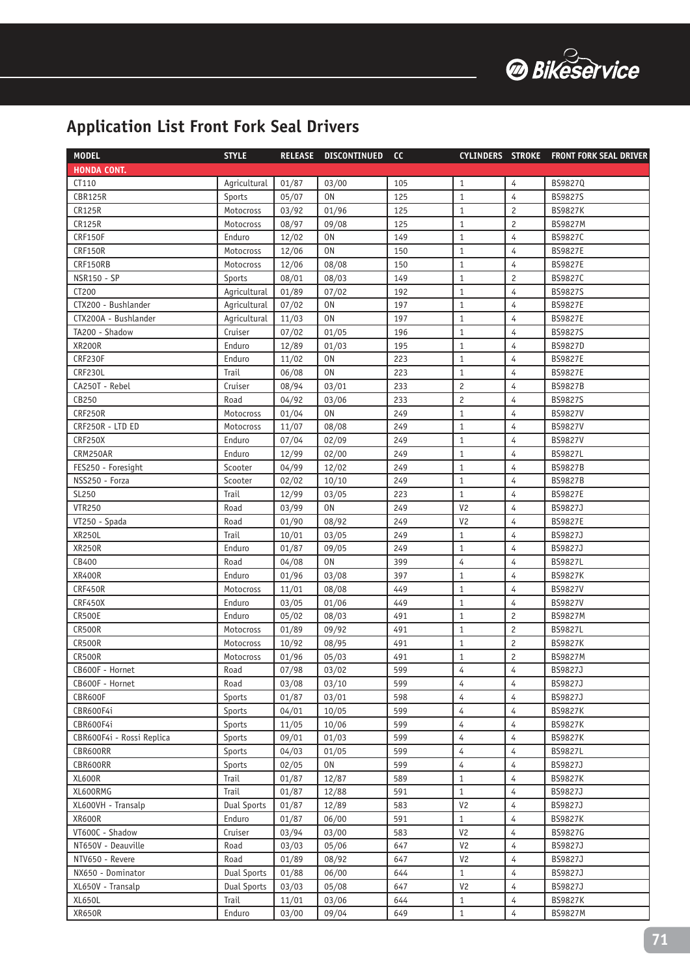

| <b>MODEL</b>              | <b>STYLE</b>       | <b>RELEASE</b> | <b>DISCONTINUED</b> | cc         | <b>CYLINDERS STROKE</b>      |                | <b>FRONT FORK SEAL DRIVER</b> |
|---------------------------|--------------------|----------------|---------------------|------------|------------------------------|----------------|-------------------------------|
| <b>HONDA CONT.</b>        |                    |                |                     |            |                              |                |                               |
| CT110                     | Agricultural       | 01/87          | 03/00               | 105        | $\mathbf{1}$                 | $\overline{4}$ | BS9827Q                       |
| <b>CBR125R</b>            | Sports             | 05/07          | 0 <sub>N</sub>      | 125        | $\mathbf{1}$                 | $\overline{4}$ | <b>BS9827S</b>                |
| <b>CR125R</b>             | Motocross          | 03/92          | 01/96               | 125        | $\mathbf{1}$                 | $\overline{c}$ | <b>BS9827K</b>                |
| <b>CR125R</b>             | Motocross          | 08/97          | 09/08               | 125        | $\mathbf{1}$                 | $\overline{c}$ | <b>BS9827M</b>                |
| CRF150F                   | Enduro             | 12/02          | 0 <sub>N</sub>      | 149        | $\mathbf{1}$                 | 4              | BS9827C                       |
| <b>CRF150R</b>            | Motocross          | 12/06          | 0 <sub>N</sub>      | 150        | $\mathbf{1}$                 | 4              | <b>BS9827E</b>                |
| CRF150RB                  | Motocross          | 12/06          | 08/08               | 150        | $\mathbf{1}$                 | 4              | <b>BS9827E</b>                |
| <b>NSR150 - SP</b>        | Sports             | 08/01          | 08/03               | 149        | $1\,$                        | $\overline{c}$ | BS9827C                       |
| CT200                     | Agricultural       | 01/89          | 07/02               | 192        | $\mathbf{1}$                 | $\overline{4}$ | <b>BS9827S</b>                |
| CTX200 - Bushlander       | Agricultural       | 07/02          | 0 <sub>N</sub>      | 197        | $\mathbf{1}$                 | 4              | BS9827E                       |
| CTX200A - Bushlander      | Agricultural       | 11/03          | <b>ON</b>           | 197        | $\mathbf{1}$                 | $\overline{4}$ | <b>BS9827E</b>                |
| TA200 - Shadow            | Cruiser            | 07/02          | 01/05               | 196        | $\mathbf{1}$                 | $\overline{4}$ | BS9827S                       |
| <b>XR200R</b>             | Enduro             | 12/89          | 01/03               | 195        | $\mathbf{1}$                 | $\overline{4}$ | BS9827D                       |
| CRF230F                   | Enduro             | 11/02          | 0 <sub>N</sub>      | 223        | $\mathbf{1}$                 | 4              | BS9827E                       |
| CRF230L                   | Trail              | 06/08          | 0 <sub>N</sub>      | 223        | $\mathbf{1}$                 | 4              | <b>BS9827E</b>                |
| CA250T - Rebel            | Cruiser            | 08/94          | 03/01               | 233        | $\overline{c}$               | 4              | <b>BS9827B</b>                |
| CB250                     | Road               | 04/92          | 03/06               | 233        | $\overline{c}$               | 4              | <b>BS9827S</b>                |
| <b>CRF250R</b>            | Motocross          | 01/04          | 0 <sub>N</sub>      | 249        | $\mathbf{1}$                 | 4              | <b>BS9827V</b>                |
| CRF250R - LTD ED          | Motocross          | 11/07          | 08/08               | 249        | $\mathbf{1}$                 | $\overline{4}$ | <b>BS9827V</b>                |
| CRF250X                   | Enduro             | 07/04          | 02/09               | 249        | $\mathbf{1}$                 | 4              | <b>BS9827V</b>                |
| CRM250AR                  | Enduro             | 12/99          | 02/00               | 249        | $\mathbf{1}$                 | 4              | BS9827L                       |
| FES250 - Foresight        | Scooter            | 04/99          | 12/02               | 249        | $1\,$                        | $\overline{4}$ | <b>BS9827B</b>                |
| NSS250 - Forza            | Scooter            | 02/02          | 10/10               | 249        | $\mathbf{1}$                 | 4              | <b>BS9827B</b>                |
| SL250                     | Trail              | 12/99          | 03/05               | 223        | $\mathbf{1}$                 | $\overline{4}$ | <b>BS9827E</b>                |
| <b>VTR250</b>             | Road               | 03/99          | 0 <sub>N</sub>      | 249        | V <sub>2</sub>               | $\overline{4}$ | BS9827J                       |
| VT250 - Spada             | Road               | 01/90          | 08/92               | 249        | V <sub>2</sub>               | $\overline{4}$ | <b>BS9827E</b>                |
| <b>XR250L</b>             | Trail              | 10/01          | 03/05               | 249        | $\mathbf{1}$                 | $\overline{4}$ | BS9827J                       |
| <b>XR250R</b>             | Enduro             | 01/87          | 09/05               | 249        | $\mathbf{1}$                 | $\overline{4}$ | BS9827J                       |
| CB400                     | Road               | 04/08          | <b>ON</b>           | 399        | 4                            | $\overline{4}$ | <b>BS9827L</b>                |
| <b>XR400R</b>             | Enduro             | 01/96          | 03/08               | 397        | $\mathbf{1}$                 | 4              | <b>BS9827K</b>                |
| CRF450R                   | Motocross          | 11/01          | 08/08               | 449        | $\mathbf{1}$                 | $\overline{4}$ | BS9827V                       |
| CRF450X                   | Enduro             | 03/05          | 01/06               | 449        | $\mathbf{1}$                 | 4              | <b>BS9827V</b>                |
| <b>CR500E</b>             | Enduro             | 05/02          | 08/03               | 491        | $\mathbf{1}$                 | $\overline{c}$ | <b>BS9827M</b>                |
| <b>CR500R</b>             | Motocross          | 01/89          | 09/92               | 491        | $\mathbf{1}$                 | $\overline{c}$ | <b>BS9827L</b>                |
| <b>CR500R</b>             | Motocross          | 10/92          | 08/95               | 491        | $\,1\,$                      | $\overline{c}$ | <b>BS9827K</b>                |
| <b>CR500R</b>             | Motocross          | 01/96          | 05/03               | 491        | $\mathbf{1}$                 | $\overline{c}$ | <b>BS9827M</b>                |
| CB600F - Hornet           | Road               | 07/98          | 03/02               | 599        | 4                            | 4              | BS9827J                       |
| CB600F - Hornet           | Road               | 03/08          | 03/10               | 599        | 4                            | 4              | BS9827J                       |
| CBR600F                   | Sports             | 01/87          | 03/01               | 598        | 4                            | 4              | BS9827J                       |
| CBR600F4i                 | Sports             | 04/01          | 10/05               | 599        | $\overline{4}$               | 4              | <b>BS9827K</b>                |
| CBR600F4i                 | Sports             | 11/05          | 10/06               | 599        | 4                            | 4              | <b>BS9827K</b>                |
| CBR600F4i - Rossi Replica | Sports             | 09/01          | 01/03               | 599        | 4                            | 4              | <b>BS9827K</b>                |
| CBR600RR                  | Sports             | 04/03          | 01/05               | 599        | 4                            | 4              | <b>BS9827L</b>                |
| CBR600RR                  | Sports             | 02/05          | 0N                  | 599        | $\overline{4}$               | $\overline{4}$ | BS9827J                       |
| XL600R                    | Trail              | 01/87          | 12/87               | 589        | $\mathbf{1}$                 | $\overline{4}$ | <b>BS9827K</b>                |
| XL600RMG                  | Trail              | 01/87          | 12/88               | 591        | $\mathbf{1}$                 | 4              | BS9827J                       |
| XL600VH - Transalp        | <b>Dual Sports</b> | 01/87          | 12/89               | 583        | V <sub>2</sub>               | 4              | BS9827J                       |
| <b>XR600R</b>             | Enduro             | 01/87          | 06/00               | 591        | $\mathbf{1}$                 | 4              | <b>BS9827K</b>                |
| VT600C - Shadow           | Cruiser            | 03/94          | 03/00               | 583        | V <sub>2</sub>               | 4              | BS9827G                       |
| NT650V - Deauville        | Road               | 03/03          | 05/06               | 647        | V <sub>2</sub>               | 4              | BS9827J                       |
| NTV650 - Revere           | Road               | 01/89          | 08/92               | 647        | V <sub>2</sub>               | 4              | BS9827J                       |
| NX650 - Dominator         | <b>Dual Sports</b> | 01/88          | 06/00               | 644        | $\mathbf{1}$                 | 4              | BS9827J                       |
| XL650V - Transalp         | <b>Dual Sports</b> | 03/03          | 05/08               | 647        | V <sub>2</sub>               | 4              | BS9827J                       |
| XL650L<br><b>XR650R</b>   | Trail<br>Enduro    | 11/01<br>03/00 | 03/06<br>09/04      | 644<br>649 | $\mathbf{1}$<br>$\mathbf{1}$ | 4<br>4         | BS9827K<br>BS9827M            |
|                           |                    |                |                     |            |                              |                |                               |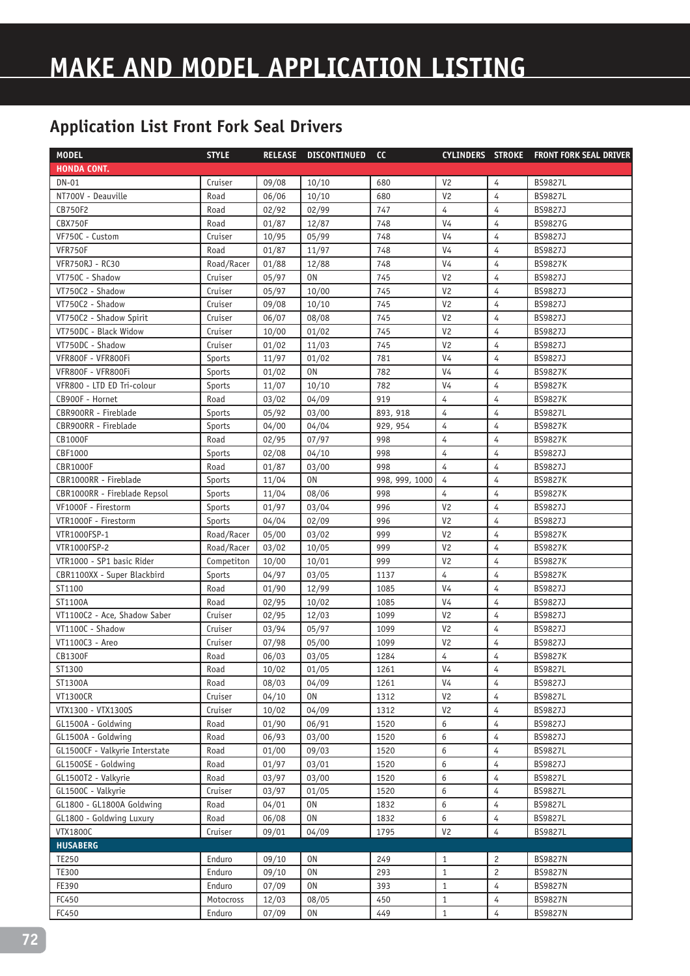| <b>MODEL</b>                   | <b>STYLE</b> | <b>RELEASE</b> | <b>DISCONTINUED</b> | cc             | CYLINDERS STROKE |                | <b>FRONT FORK SEAL DRIVER</b> |
|--------------------------------|--------------|----------------|---------------------|----------------|------------------|----------------|-------------------------------|
| <b>HONDA CONT.</b>             |              |                |                     |                |                  |                |                               |
| <b>DN-01</b>                   | Cruiser      | 09/08          | 10/10               | 680            | V <sub>2</sub>   | 4              | <b>BS9827L</b>                |
| NT700V - Deauville             | Road         | 06/06          | 10/10               | 680            | V <sub>2</sub>   | $\overline{4}$ | <b>BS9827L</b>                |
| CB750F2                        | Road         | 02/92          | 02/99               | 747            | 4                | $\overline{4}$ | BS9827J                       |
| CBX750F                        | Road         | 01/87          | 12/87               | 748            | V <sub>4</sub>   | $\overline{4}$ | BS9827G                       |
| VF750C - Custom                | Cruiser      | 10/95          | 05/99               | 748            | V <sub>4</sub>   | $\overline{4}$ | BS9827J                       |
| VFR750F                        | Road         | 01/87          | 11/97               | 748            | V <sub>4</sub>   | $\overline{4}$ | BS9827J                       |
| <b>VFR750RJ - RC30</b>         | Road/Racer   | 01/88          | 12/88               | 748            | V <sub>4</sub>   | $\overline{4}$ | <b>BS9827K</b>                |
| VT750C - Shadow                | Cruiser      | 05/97          | 0 <sub>N</sub>      | 745            | V <sub>2</sub>   | 4              | BS9827J                       |
| VT750C2 - Shadow               | Cruiser      | 05/97          | 10/00               | 745            | V <sub>2</sub>   | 4              | BS9827J                       |
| VT750C2 - Shadow               | Cruiser      | 09/08          | 10/10               | 745            | V <sub>2</sub>   | $\overline{4}$ | BS9827J                       |
| VT750C2 - Shadow Spirit        | Cruiser      | 06/07          | 08/08               | 745            | V <sub>2</sub>   | $\overline{4}$ | BS9827J                       |
| VT750DC - Black Widow          | Cruiser      | 10/00          | 01/02               | 745            | V <sub>2</sub>   | $\overline{4}$ | BS9827J                       |
| VT750DC - Shadow               | Cruiser      | 01/02          | 11/03               | 745            | V <sub>2</sub>   | $\overline{4}$ | BS9827J                       |
| VFR800F - VFR800Fi             | Sports       | 11/97          | 01/02               | 781            | V <sub>4</sub>   | $\overline{4}$ | BS9827J                       |
| VFR800F - VFR800Fi             | Sports       | 01/02          | <b>ON</b>           | 782            | V <sub>4</sub>   | $\overline{4}$ | <b>BS9827K</b>                |
| VFR800 - LTD ED Tri-colour     | Sports       | 11/07          | 10/10               | 782            | V <sub>4</sub>   | $\overline{4}$ | <b>BS9827K</b>                |
| CB900F - Hornet                | Road         | 03/02          | 04/09               | 919            | 4                | 4              | <b>BS9827K</b>                |
| CBR900RR - Fireblade           | Sports       | 05/92          | 03/00               | 893, 918       | 4                | 4              | <b>BS9827L</b>                |
| CBR900RR - Fireblade           | Sports       | 04/00          | 04/04               | 929, 954       | 4                | 4              | <b>BS9827K</b>                |
| <b>CB1000F</b>                 | Road         | 02/95          | 07/97               | 998            | 4                | $\overline{4}$ | <b>BS9827K</b>                |
| CBF1000                        | Sports       | 02/08          | 04/10               | 998            | $\overline{4}$   | $\overline{4}$ | BS9827J                       |
| <b>CBR1000F</b>                | Road         | 01/87          | 03/00               | 998            | 4                | $\overline{4}$ | BS9827J                       |
| CBR1000RR - Fireblade          | Sports       | 11/04          | 0 <sub>N</sub>      | 998, 999, 1000 | $\overline{4}$   | $\overline{4}$ | <b>BS9827K</b>                |
| CBR1000RR - Fireblade Repsol   | Sports       | 11/04          | 08/06               | 998            | $\overline{4}$   | $\overline{4}$ | <b>BS9827K</b>                |
| VF1000F - Firestorm            | Sports       | 01/97          | 03/04               | 996            | V <sub>2</sub>   | $\overline{4}$ | BS9827J                       |
| VTR1000F - Firestorm           | Sports       | 04/04          | 02/09               | 996            | V <sub>2</sub>   | 4              | BS9827J                       |
| VTR1000FSP-1                   | Road/Racer   | 05/00          | 03/02               | 999            | V <sub>2</sub>   | $\overline{4}$ | <b>BS9827K</b>                |
| VTR1000FSP-2                   | Road/Racer   | 03/02          | 10/05               | 999            | V <sub>2</sub>   | $\overline{4}$ | <b>BS9827K</b>                |
| VTR1000 - SP1 basic Rider      | Competiton   | 10/00          | 10/01               | 999            | V <sub>2</sub>   | $\overline{4}$ | <b>BS9827K</b>                |
| CBR1100XX - Super Blackbird    | Sports       | 04/97          | 03/05               | 1137           | $\overline{4}$   | $\overline{4}$ | <b>BS9827K</b>                |
| ST1100                         | Road         | 01/90          | 12/99               | 1085           | V <sub>4</sub>   | $\overline{4}$ | BS9827J                       |
| ST1100A                        | Road         | 02/95          | 10/02               | 1085           | V <sub>4</sub>   | 4              | BS9827J                       |
| VT1100C2 - Ace, Shadow Saber   | Cruiser      | 02/95          | 12/03               | 1099           | V <sub>2</sub>   | $\overline{4}$ | BS9827J                       |
| VT1100C - Shadow               | Cruiser      | 03/94          | 05/97               | 1099           | V <sub>2</sub>   | 4              | BS9827J                       |
| VT1100C3 - Areo                | Cruiser      | 07/98          | 05/00               | 1099           | V <sub>2</sub>   | 4              | BS9827J                       |
| CB1300F                        | Road         | 06/03          | 03/05               | 1284           | 4                | 4              | <b>BS9827K</b>                |
| ST1300                         | Road         | 10/02          | 01/05               | 1261           | V4               | 4              | <b>BS9827L</b>                |
| ST1300A                        | Road         | 08/03          | 04/09               | 1261           | V <sub>4</sub>   | 4              | BS9827J                       |
| <b>VT1300CR</b>                | Cruiser      | 04/10          | 0N                  | 1312           | V <sub>2</sub>   | 4              | <b>BS9827L</b>                |
| VTX1300 - VTX1300S             | Cruiser      | 10/02          | 04/09               | 1312           | V <sub>2</sub>   | 4              | BS9827J                       |
| GL1500A - Goldwing             | Road         | 01/90          | 06/91               | 1520           | 6                | 4              | BS9827J                       |
| GL1500A - Goldwing             | Road         | 06/93          | 03/00               | 1520           | 6                | $\overline{4}$ | BS9827J                       |
| GL1500CF - Valkyrie Interstate | Road         | 01/00          | 09/03               | 1520           | 6                | 4              | <b>BS9827L</b>                |
| GL1500SE - Goldwing            | Road         | 01/97          | 03/01               | 1520           | 6                | 4              | BS9827J                       |
| GL1500T2 - Valkyrie            | Road         | 03/97          | 03/00               | 1520           | 6                | 4              | <b>BS9827L</b>                |
| GL1500C - Valkyrie             | Cruiser      | 03/97          | 01/05               | 1520           | 6                | 4              | <b>BS9827L</b>                |
| GL1800 - GL1800A Goldwing      | Road         | 04/01          | 0N                  | 1832           | 6                | 4              | <b>BS9827L</b>                |
| GL1800 - Goldwing Luxury       | Road         | 06/08          | 0N                  | 1832           | 6                | 4              | <b>BS9827L</b>                |
| <b>VTX1800C</b>                | Cruiser      | 09/01          | 04/09               | 1795           | V <sub>2</sub>   | 4              | BS9827L                       |
| <b>HUSABERG</b>                |              |                |                     |                |                  |                |                               |
| <b>TE250</b>                   | Enduro       | 09/10          | 0N                  | 249            | $\mathbf{1}$     | 2              | <b>BS9827N</b>                |
| TE300                          | Enduro       | 09/10          | 0 <sub>N</sub>      | 293            | $\mathbf{1}$     | $\overline{c}$ | <b>BS9827N</b>                |
| FE390                          | Enduro       | 07/09          | 0N                  | 393            | $\mathbf{1}$     | 4              | <b>BS9827N</b>                |
| FC450                          | Motocross    | 12/03          | 08/05               | 450            | $\mathbf{1}$     | 4              | <b>BS9827N</b>                |
| FC450                          | Enduro       | 07/09          | 0N                  | 449            | $\mathbf{1}$     | 4              | <b>BS9827N</b>                |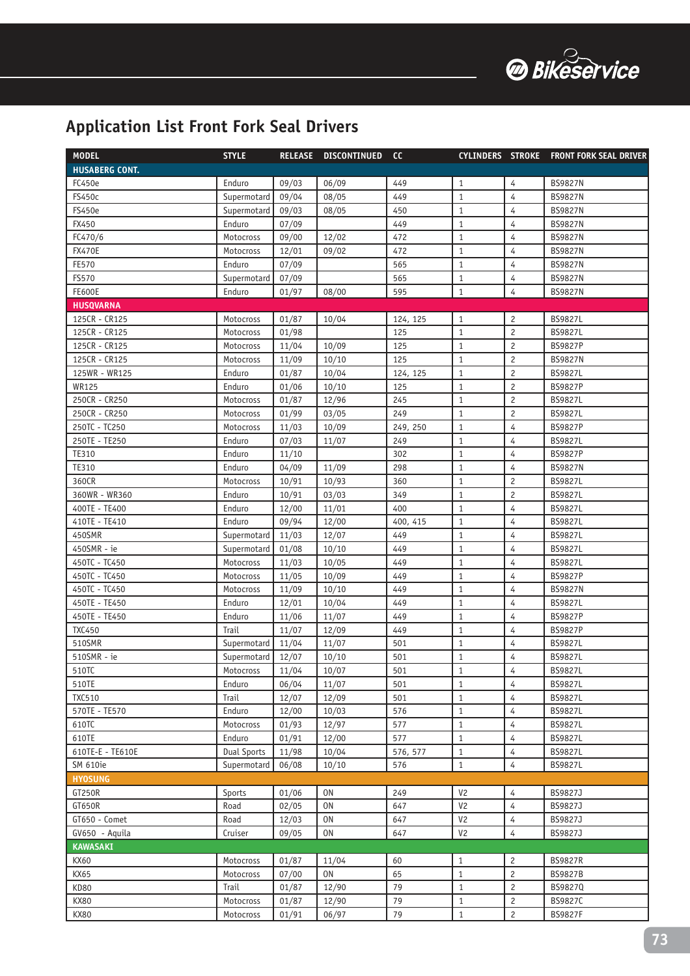

| <b>MODEL</b>          | <b>STYLE</b>       | <b>RELEASE</b> | <b>DISCONTINUED</b> | cc       | <b>CYLINDERS STROKE</b> |                | <b>FRONT FORK SEAL DRIVER</b> |
|-----------------------|--------------------|----------------|---------------------|----------|-------------------------|----------------|-------------------------------|
| <b>HUSABERG CONT.</b> |                    |                |                     |          |                         |                |                               |
| FC450e                | Enduro             | 09/03          | 06/09               | 449      | $\mathbf{1}$            | $\overline{4}$ | <b>BS9827N</b>                |
| <b>FS450c</b>         | Supermotard        | 09/04          | 08/05               | 449      | $\mathbf{1}$            | $\overline{4}$ | <b>BS9827N</b>                |
| <b>FS450e</b>         | Supermotard        | 09/03          | 08/05               | 450      | $\mathbf{1}$            | $\overline{4}$ | <b>BS9827N</b>                |
| FX450                 | Enduro             | 07/09          |                     | 449      | $\mathbf{1}$            | $\overline{4}$ | <b>BS9827N</b>                |
| FC470/6               | Motocross          | 09/00          | 12/02               | 472      | $\mathbf{1}$            | 4              | <b>BS9827N</b>                |
| <b>FX470E</b>         | Motocross          | 12/01          | 09/02               | 472      | $1\,$                   | $\overline{4}$ | <b>BS9827N</b>                |
| FE570                 | Enduro             | 07/09          |                     | 565      | $\mathbf{1}$            | 4              | <b>BS9827N</b>                |
| FS570                 | Supermotard        | 07/09          |                     | 565      | $\mathbf{1}$            | $\overline{4}$ | <b>BS9827N</b>                |
| <b>FE600E</b>         | Enduro             | 01/97          | 08/00               | 595      | $\mathbf{1}$            | $\overline{4}$ | <b>BS9827N</b>                |
| <b>HUSQVARNA</b>      |                    |                |                     |          |                         |                |                               |
| 125CR - CR125         | Motocross          | 01/87          | 10/04               | 124, 125 | $\mathbf{1}$            | $\overline{c}$ | <b>BS9827L</b>                |
| 125CR - CR125         | Motocross          | 01/98          |                     | 125      | $\mathbf{1}$            | $\overline{c}$ | <b>BS9827L</b>                |
| 125CR - CR125         | Motocross          | 11/04          | 10/09               | 125      | $\mathbf{1}$            | $\overline{c}$ | <b>BS9827P</b>                |
| 125CR - CR125         | Motocross          | 11/09          | 10/10               | 125      | $\mathbf{1}$            | $\overline{c}$ | <b>BS9827N</b>                |
| 125WR - WR125         | Enduro             | 01/87          | 10/04               | 124, 125 | $\mathbf{1}$            | $\overline{c}$ | <b>BS9827L</b>                |
| <b>WR125</b>          | Enduro             | 01/06          | 10/10               | 125      | $\mathbf{1}$            | $\overline{c}$ | <b>BS9827P</b>                |
| 250CR - CR250         | Motocross          | 01/87          | 12/96               | 245      | $\mathbf{1}$            | $\overline{c}$ | BS9827L                       |
| 250CR - CR250         | Motocross          | 01/99          | 03/05               | 249      | $\mathbf{1}$            | $\overline{c}$ | <b>BS9827L</b>                |
| 250TC - TC250         | Motocross          | 11/03          | 10/09               | 249, 250 | $1\,$                   | $\overline{4}$ | <b>BS9827P</b>                |
| 250TE - TE250         | Enduro             | 07/03          | 11/07               | 249      | $1\,$                   | $\overline{4}$ | <b>BS9827L</b>                |
| TE310                 | Enduro             | 11/10          |                     | 302      | $1\,$                   | $\overline{4}$ | <b>BS9827P</b>                |
| TE310                 | Enduro             | 04/09          | 11/09               | 298      | $\mathbf{1}$            | $\overline{4}$ | <b>BS9827N</b>                |
| 360CR                 | Motocross          | 10/91          | 10/93               | 360      | $\mathbf{1}$            | $\overline{c}$ | <b>BS9827L</b>                |
| 360WR - WR360         | Enduro             | 10/91          | 03/03               | 349      | $1\,$                   | $\overline{c}$ | <b>BS9827L</b>                |
| 400TE - TE400         | Enduro             | 12/00          | 11/01               | 400      | $\mathbf{1}$            | $\overline{4}$ | <b>BS9827L</b>                |
| 410TE - TE410         | Enduro             | 09/94          | 12/00               | 400, 415 | $\mathbf{1}$            | 4              | <b>BS9827L</b>                |
| 450SMR                | Supermotard        | 11/03          | 12/07               | 449      | $\mathbf{1}$            | $\overline{4}$ | <b>BS9827L</b>                |
| 450SMR - ie           | Supermotard        | 01/08          | 10/10               | 449      | $1\,$                   | $\overline{4}$ | <b>BS9827L</b>                |
| 450TC - TC450         | Motocross          | 11/03          | 10/05               | 449      | $1\,$                   | $\overline{4}$ | <b>BS9827L</b>                |
| 450TC - TC450         | Motocross          | 11/05          | 10/09               | 449      | $1\,$                   | $\overline{4}$ | <b>BS9827P</b>                |
| 450TC - TC450         | Motocross          | 11/09          | 10/10               | 449      | $\mathbf{1}$            | $\overline{4}$ | <b>BS9827N</b>                |
| 450TE - TE450         | Enduro             | 12/01          | 10/04               | 449      | $\mathbf{1}$            | $\overline{4}$ | <b>BS9827L</b>                |
| 450TE - TE450         | Enduro             | 11/06          | 11/07               | 449      | $\mathbf{1}$            | 4              | <b>BS9827P</b>                |
| <b>TXC450</b>         | Trail              | 11/07          | 12/09               | 449      | $1\,$                   | $\overline{4}$ | <b>BS9827P</b>                |
| 510SMR                | Supermotard        | 11/04          | 11/07               | 501      | $\mathbf{1}$            | 4              | BS9827L                       |
| 510SMR - ie           | Supermotard        | 12/07          | 10/10               | 501      | $1\,$                   | 4              | BS9827L                       |
| 510TC                 | Motocross          | 11/04          | 10/07               | 501      | $\mathbf{1}$            | 4              | <b>BS9827L</b>                |
| 510TE                 | Enduro             | 06/04          | 11/07               | 501      | $1\,$                   | $\overline{4}$ | <b>BS9827L</b>                |
| <b>TXC510</b>         | Trail              | 12/07          | 12/09               | 501      | $\mathbf{1}$            | 4              | <b>BS9827L</b>                |
| 570TE - TE570         | Enduro             | 12/00          | 10/03               | 576      | $\mathbf{1}$            | 4              | <b>BS9827L</b>                |
| 610TC                 | Motocross          | 01/93          | 12/97               | 577      | $\mathbf{1}$            | 4              | <b>BS9827L</b>                |
| 610TE                 | Enduro             | 01/91          | 12/00               | 577      | $\mathbf{1}$            | 4              | <b>BS9827L</b>                |
| 610TE-E - TE610E      | <b>Dual Sports</b> | 11/98          | 10/04               | 576, 577 | $1\,$                   | 4              | <b>BS9827L</b>                |
| <b>SM 610ie</b>       | Supermotard        | 06/08          | 10/10               | 576      | $\mathbf{1}$            | 4              | <b>BS9827L</b>                |
| <b>HYOSUNG</b>        |                    |                |                     |          |                         |                |                               |
| GT250R                | Sports             | 01/06          | 0 <sub>N</sub>      | 249      | V <sub>2</sub>          | 4              | BS9827J                       |
| GT650R                | Road               | 02/05          | 0N                  | 647      | V <sub>2</sub>          | $\overline{4}$ | BS9827J                       |
| GT650 - Comet         | Road               | 12/03          | 0N                  | 647      | V <sub>2</sub>          | 4              | BS9827J                       |
| GV650 - Aquila        | Cruiser            | 09/05          | 0N                  | 647      | V <sub>2</sub>          | $\overline{4}$ | BS9827J                       |
| <b>KAWASAKI</b>       |                    |                |                     |          |                         |                |                               |
| KX60                  | Motocross          | 01/87          | 11/04               | 60       | 1                       | 2              | <b>BS9827R</b>                |
| KX65                  | Motocross          | 07/00          | 0 <sub>N</sub>      | 65       | $\mathbf{1}$            | $\overline{c}$ | <b>BS9827B</b>                |
| KD80                  | Trail              | 01/87          | 12/90               | 79       | $\mathbf{1}$            | $\overline{c}$ | BS9827Q                       |
| KX80                  | Motocross          | 01/87          | 12/90               | 79       | $\mathbf{1}$            | $\overline{c}$ | BS9827C                       |
| <b>KX80</b>           | Motocross          | 01/91          | 06/97               | 79       | $\mathbf{1}$            | $\overline{c}$ | BS9827F                       |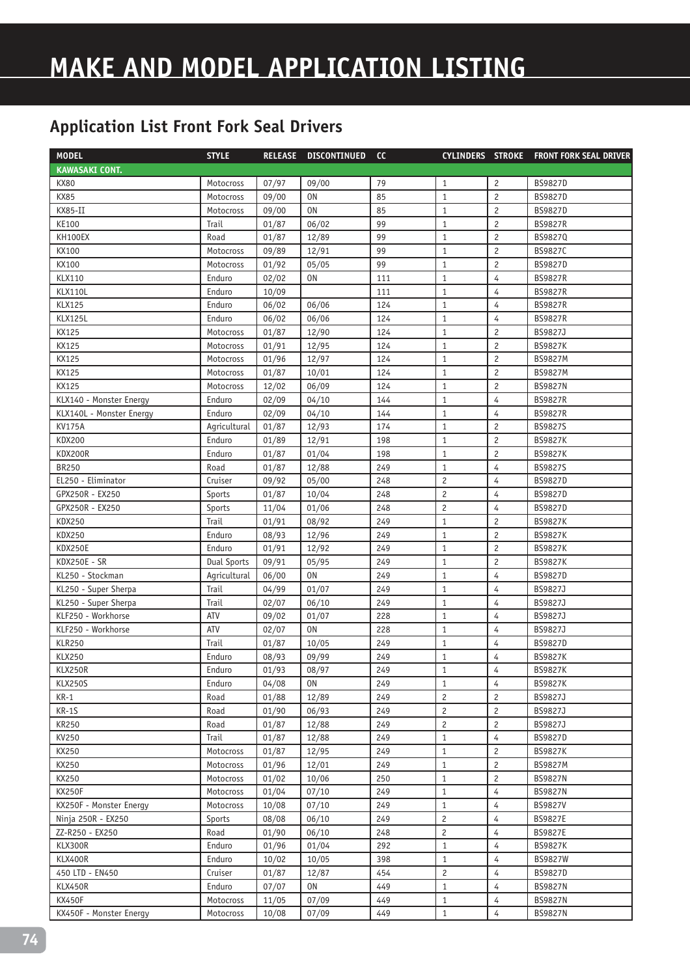| <b>MODEL</b>             | <b>STYLE</b>       | <b>RELEASE</b> | <b>DISCONTINUED</b> | cc  | <b>CYLINDERS STROKE</b> |                | <b>FRONT FORK SEAL DRIVER</b> |
|--------------------------|--------------------|----------------|---------------------|-----|-------------------------|----------------|-------------------------------|
| <b>KAWASAKI CONT.</b>    |                    |                |                     |     |                         |                |                               |
| <b>KX80</b>              | Motocross          | 07/97          | 09/00               | 79  | 1                       | $\overline{c}$ | <b>BS9827D</b>                |
| <b>KX85</b>              | Motocross          | 09/00          | 0 <sub>N</sub>      | 85  | $\mathbf{1}$            | $\sqrt{2}$     | <b>BS9827D</b>                |
| KX85-II                  | Motocross          | 09/00          | 0 <sub>N</sub>      | 85  | $\mathbf{1}$            | $\overline{c}$ | BS9827D                       |
| KE100                    | Trail              | 01/87          | 06/02               | 99  | $\mathbf{1}$            | $\overline{c}$ | <b>BS9827R</b>                |
| <b>KH100EX</b>           | Road               | 01/87          | 12/89               | 99  | $\mathbf{1}$            | $\overline{c}$ | BS9827Q                       |
| KX100                    | Motocross          | 09/89          | 12/91               | 99  | $\mathbf{1}$            | $\overline{c}$ | BS9827C                       |
| KX100                    | Motocross          | 01/92          | 05/05               | 99  | $1\,$                   | $\overline{c}$ | BS9827D                       |
| <b>KLX110</b>            | Enduro             | 02/02          | 0 <sub>N</sub>      | 111 | $1\,$                   | 4              | <b>BS9827R</b>                |
| <b>KLX110L</b>           | Enduro             | 10/09          |                     | 111 | $1\,$                   | $\overline{4}$ | <b>BS9827R</b>                |
| <b>KLX125</b>            | Enduro             | 06/02          | 06/06               | 124 | $\mathbf{1}$            | $\overline{4}$ | <b>BS9827R</b>                |
| <b>KLX125L</b>           | Enduro             | 06/02          | 06/06               | 124 | $1\,$                   | $\overline{4}$ | <b>BS9827R</b>                |
| <b>KX125</b>             | Motocross          | 01/87          | 12/90               | 124 | $\mathbf{1}$            | $\overline{c}$ | BS9827J                       |
| <b>KX125</b>             | Motocross          | 01/91          | 12/95               | 124 | $\mathbf{1}$            | $\overline{c}$ | <b>BS9827K</b>                |
| <b>KX125</b>             | Motocross          | 01/96          | 12/97               | 124 | $\mathbf{1}$            | $\overline{c}$ | <b>BS9827M</b>                |
| KX125                    | Motocross          | 01/87          | 10/01               | 124 | $\mathbf{1}$            | $\overline{c}$ | <b>BS9827M</b>                |
| <b>KX125</b>             | Motocross          | 12/02          | 06/09               | 124 | $1\,$                   | $\overline{c}$ | <b>BS9827N</b>                |
| KLX140 - Monster Energy  | Enduro             | 02/09          | 04/10               | 144 | $\mathbf{1}$            | 4              | <b>BS9827R</b>                |
| KLX140L - Monster Energy | Enduro             | 02/09          | 04/10               | 144 | $\mathbf{1}$            | 4              | <b>BS9827R</b>                |
| <b>KV175A</b>            | Agricultural       | 01/87          | 12/93               | 174 | $\mathbf{1}$            | $\overline{c}$ | BS9827S                       |
| <b>KDX200</b>            | Enduro             | 01/89          | 12/91               | 198 | $\mathbf{1}$            | $\overline{c}$ | <b>BS9827K</b>                |
| KDX200R                  | Enduro             | 01/87          | 01/04               | 198 | $\mathbf{1}$            | $\overline{c}$ | <b>BS9827K</b>                |
| <b>BR250</b>             | Road               | 01/87          | 12/88               | 249 | $\mathbf{1}$            | 4              | BS9827S                       |
| EL250 - Eliminator       | Cruiser            | 09/92          | 05/00               | 248 | $\overline{c}$          | 4              | <b>BS9827D</b>                |
| GPX250R - EX250          | Sports             | 01/87          | 10/04               | 248 | $\overline{c}$          | $\overline{4}$ | <b>BS9827D</b>                |
| GPX250R - EX250          | Sports             | 11/04          | 01/06               | 248 | $\overline{c}$          | 4              | BS9827D                       |
| <b>KDX250</b>            | Trail              | 01/91          | 08/92               | 249 | $\mathbf{1}$            | $\overline{c}$ | <b>BS9827K</b>                |
| <b>KDX250</b>            | Enduro             | 08/93          | 12/96               | 249 | $\mathbf{1}$            | $\overline{c}$ | <b>BS9827K</b>                |
| <b>KDX250E</b>           | Enduro             | 01/91          | 12/92               | 249 | $\mathbf{1}$            | $\overline{c}$ | <b>BS9827K</b>                |
| <b>KDX250E - SR</b>      | <b>Dual Sports</b> | 09/91          | 05/95               | 249 | $\mathbf{1}$            | $\overline{c}$ | <b>BS9827K</b>                |
| KL250 - Stockman         | Agricultural       | 06/00          | 0 <sub>N</sub>      | 249 | $\mathbf{1}$            | $\overline{4}$ | <b>BS9827D</b>                |
| KL250 - Super Sherpa     | Trail              | 04/99          | 01/07               | 249 | $\mathbf{1}$            | 4              | BS9827J                       |
| KL250 - Super Sherpa     | Trail              | 02/07          | 06/10               | 249 | $\mathbf{1}$            | 4              | BS9827J                       |
| KLF250 - Workhorse       | ATV                | 09/02          | 01/07               | 228 | $\mathbf{1}$            | 4              | BS9827J                       |
| KLF250 - Workhorse       | ATV                | 02/07          | <b>ON</b>           | 228 | $\mathbf{1}$            | 4              | BS9827J                       |
| <b>KLR250</b>            | Trail              | 01/87          | 10/05               | 249 | $\mathbf{1}$            | 4              | <b>BS9827D</b>                |
| <b>KLX250</b>            | Enduro             | 08/93          | 09/99               | 249 | $\mathbf{1}$            | 4              | <b>BS9827K</b>                |
| KLX250R                  | Enduro             | 01/93          | 08/97               | 249 | $\mathbf{1}$            | 4              | <b>BS9827K</b>                |
| <b>KLX250S</b>           | Enduro             | 04/08          | 0N                  | 249 | $\mathbf{1}$            | 4              | <b>BS9827K</b>                |
| $KR-1$                   | Road               | 01/88          | 12/89               | 249 | $\overline{c}$          | 2              | BS9827J                       |
| $KR-1S$                  | Road               | 01/90          | 06/93               | 249 | $\overline{c}$          | $\overline{c}$ | BS9827J                       |
| <b>KR250</b>             | Road               | 01/87          | 12/88               | 249 | $\overline{c}$          | $\overline{c}$ | BS9827J                       |
| KV250                    | Trail              | 01/87          | 12/88               | 249 | $1\,$                   | $\overline{4}$ | <b>BS9827D</b>                |
| KX250                    | Motocross          | 01/87          | 12/95               | 249 | $\mathbf{1}$            | 2              | <b>BS9827K</b>                |
| KX250                    | Motocross          | 01/96          | 12/01               | 249 | $\mathbf{1}$            | $\overline{c}$ | BS9827M                       |
| KX250                    | Motocross          | 01/02          | 10/06               | 250 | $\mathbf{1}$            | $\overline{c}$ | <b>BS9827N</b>                |
| <b>KX250F</b>            | Motocross          | 01/04          | 07/10               | 249 | $\mathbf{1}$            | 4              | <b>BS9827N</b>                |
| KX250F - Monster Energy  | Motocross          | 10/08          | 07/10               | 249 | $\mathbf{1}$            | 4              | <b>BS9827V</b>                |
| Ninja 250R - EX250       | Sports             | 08/08          | 06/10               | 249 | $\overline{c}$          | 4              | <b>BS9827E</b>                |
| ZZ-R250 - EX250          | Road               | 01/90          | 06/10               | 248 | $\overline{c}$          | 4              | <b>BS9827E</b>                |
| KLX300R                  | Enduro             | 01/96          | 01/04               | 292 | $\mathbf{1}$            | 4              | <b>BS9827K</b>                |
| KLX400R                  | Enduro             | 10/02          | 10/05               | 398 | $\mathbf{1}$            | 4              | BS9827W                       |
| 450 LTD - EN450          | Cruiser            | 01/87          | 12/87               | 454 | $\mathbf{2}$            | 4              | BS9827D                       |
| KLX450R                  | Enduro             | 07/07          | 0 <sub>N</sub>      | 449 | $\mathbf{1}$            | 4              | <b>BS9827N</b>                |
| KX450F                   | Motocross          | 11/05          | 07/09               | 449 | $\mathbf{1}$            | 4              | <b>BS9827N</b>                |
| KX450F - Monster Energy  | Motocross          | 10/08          | 07/09               | 449 | $\mathbf{1}$            | 4              | <b>BS9827N</b>                |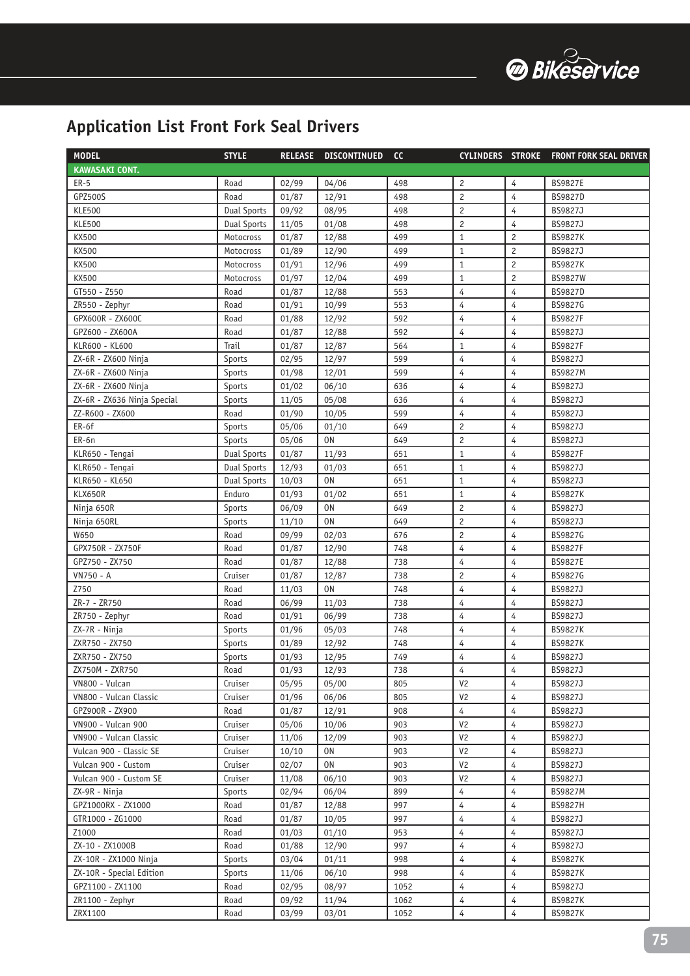

| <b>MODEL</b>                | <b>STYLE</b>       | <b>RELEASE</b> | <b>DISCONTINUED</b> | <b>CC</b> |                |                | CYLINDERS STROKE FRONT FORK SEAL DRIVER |
|-----------------------------|--------------------|----------------|---------------------|-----------|----------------|----------------|-----------------------------------------|
| <b>KAWASAKI CONT.</b>       |                    |                |                     |           |                |                |                                         |
| <b>ER-5</b>                 | Road               | 02/99          | 04/06               | 498       | $\overline{c}$ | 4              | <b>BS9827E</b>                          |
| GPZ500S                     | Road               | 01/87          | 12/91               | 498       | $\overline{c}$ | 4              | <b>BS9827D</b>                          |
| <b>KLE500</b>               | <b>Dual Sports</b> | 09/92          | 08/95               | 498       | $\overline{c}$ | 4              | BS9827J                                 |
| <b>KLE500</b>               | <b>Dual Sports</b> | 11/05          | 01/08               | 498       | $\overline{c}$ | $\overline{4}$ | BS9827J                                 |
| KX500                       | Motocross          | 01/87          | 12/88               | 499       | $\mathbf{1}$   | $\overline{c}$ | <b>BS9827K</b>                          |
| KX500                       | Motocross          | 01/89          | 12/90               | 499       | $\mathbf{1}$   | $\overline{c}$ | BS9827J                                 |
| KX500                       | Motocross          | 01/91          | 12/96               | 499       | $\mathbf{1}$   | $\overline{c}$ | <b>BS9827K</b>                          |
| KX500                       | Motocross          | 01/97          | 12/04               | 499       | $\mathbf{1}$   | $\overline{c}$ | <b>BS9827W</b>                          |
| GT550 - Z550                | Road               | 01/87          | 12/88               | 553       | $\overline{4}$ | $\overline{4}$ | BS9827D                                 |
| ZR550 - Zephyr              | Road               | 01/91          | 10/99               | 553       | 4              | 4              | BS9827G                                 |
| GPX600R - ZX600C            | Road               | 01/88          | 12/92               | 592       | 4              | 4              | <b>BS9827F</b>                          |
| GPZ600 - ZX600A             | Road               | 01/87          | 12/88               | 592       | 4              | $\overline{4}$ | BS9827J                                 |
| KLR600 - KL600              | Trail              | 01/87          | 12/87               | 564       | $\mathbf{1}$   | 4              | <b>BS9827F</b>                          |
| ZX-6R - ZX600 Ninja         | Sports             | 02/95          | 12/97               | 599       | 4              | 4              | BS9827J                                 |
| ZX-6R - ZX600 Ninja         | Sports             | 01/98          | 12/01               | 599       | 4              | 4              | <b>BS9827M</b>                          |
| ZX-6R - ZX600 Ninja         | Sports             | 01/02          | 06/10               | 636       | 4              | 4              | BS9827J                                 |
| ZX-6R - ZX636 Ninja Special | Sports             | 11/05          | 05/08               | 636       | 4              | 4              | BS9827J                                 |
| ZZ-R600 - ZX600             | Road               | 01/90          | 10/05               | 599       | 4              | 4              | BS9827J                                 |
| ER-6f                       | Sports             | 05/06          | 01/10               | 649       | $\overline{c}$ | $\overline{4}$ | BS9827J                                 |
| ER-6n                       | Sports             | 05/06          | 0N                  | 649       | $\overline{c}$ | 4              | BS9827J                                 |
| KLR650 - Tengai             | <b>Dual Sports</b> | 01/87          | 11/93               | 651       | $\mathbf{1}$   | 4              | <b>BS9827F</b>                          |
| KLR650 - Tengai             | <b>Dual Sports</b> | 12/93          | 01/03               | 651       | $\mathbf{1}$   | 4              | BS9827J                                 |
| KLR650 - KL650              | <b>Dual Sports</b> | 10/03          | 0N                  | 651       | $\mathbf{1}$   | 4              | BS9827J                                 |
| KLX650R                     | Enduro             | 01/93          | 01/02               | 651       | $\mathbf{1}$   | 4              | <b>BS9827K</b>                          |
| Ninja 650R                  | Sports             | 06/09          | 0 <sub>N</sub>      | 649       | $\overline{c}$ | 4              | BS9827J                                 |
| Ninja 650RL                 | Sports             | 11/10          | 0N                  | 649       | $\overline{c}$ | $\overline{4}$ | BS9827J                                 |
| W650                        | Road               | 09/99          | 02/03               | 676       | $\overline{c}$ | 4              | BS9827G                                 |
| GPX750R - ZX750F            | Road               | 01/87          | 12/90               | 748       | 4              | 4              | <b>BS9827F</b>                          |
| GPZ750 - ZX750              | Road               | 01/87          | 12/88               | 738       | 4              | 4              | <b>BS9827E</b>                          |
| VN750 - A                   | Cruiser            | 01/87          | 12/87               | 738       | $\overline{c}$ | 4              | BS9827G                                 |
| Z750                        | Road               | 11/03          | <b>ON</b>           | 748       | $\overline{4}$ | 4              | BS9827J                                 |
| ZR-7 - ZR750                | Road               | 06/99          | 11/03               | 738       | 4              | 4              | BS9827J                                 |
| ZR750 - Zephyr              | Road               | 01/91          | 06/99               | 738       | 4              | 4              | BS9827J                                 |
| ZX-7R - Ninja               | Sports             | 01/96          | 05/03               | 748       | 4              | 4              | <b>BS9827K</b>                          |
| ZXR750 - ZX750              | Sports             | 01/89          | 12/92               | 748       | 4              | 4              | <b>BS9827K</b>                          |
| ZXR750 - ZX750              | Sports             | 01/93          | 12/95               | 749       | 4              | 4              | BS9827J                                 |
| ZX750M - ZXR750             | Road               | 01/93          | 12/93               | 738       | 4              | 4              | BS9827J                                 |
| VN800 - Vulcan              | Cruiser            | 05/95          | 05/00               | 805       | V <sub>2</sub> | 4              | BS9827J                                 |
| VN800 - Vulcan Classic      | Cruiser            | 01/96          | 06/06               | 805       | V <sub>2</sub> | 4              | BS9827J                                 |
| GPZ900R - ZX900             | Road               | 01/87          | 12/91               | 908       | $\overline{4}$ | 4              | BS9827J                                 |
| VN900 - Vulcan 900          | Cruiser            | 05/06          | 10/06               | 903       | V <sub>2</sub> | 4              | BS9827J                                 |
| VN900 - Vulcan Classic      | Cruiser            | 11/06          | 12/09               | 903       | V <sub>2</sub> | 4              | BS9827J                                 |
| Vulcan 900 - Classic SE     | Cruiser            | 10/10          | ON                  | 903       | V <sub>2</sub> | 4              | BS9827J                                 |
| Vulcan 900 - Custom         | Cruiser            | 02/07          | ON                  | 903       | V <sub>2</sub> | 4              | BS9827J                                 |
| Vulcan 900 - Custom SE      | Cruiser            | 11/08          | 06/10               | 903       | V <sub>2</sub> | 4              | BS9827J                                 |
| ZX-9R - Ninja               | Sports             | 02/94          | 06/04               | 899       | 4              | 4              | <b>BS9827M</b>                          |
| GPZ1000RX - ZX1000          | Road               | 01/87          | 12/88               | 997       | 4              | 4              | <b>BS9827H</b>                          |
| GTR1000 - ZG1000            | Road               | 01/87          | 10/05               | 997       | $\overline{4}$ | 4              | BS9827J                                 |
| Z1000                       | Road               | 01/03          | 01/10               | 953       | 4              | 4              | BS9827J                                 |
| ZX-10 - ZX1000B             | Road               | 01/88          | 12/90               | 997       | 4              | 4              | BS9827J                                 |
| ZX-10R - ZX1000 Ninja       | Sports             | 03/04          | 01/11               | 998       | 4              | 4              | <b>BS9827K</b>                          |
| ZX-10R - Special Edition    | Sports             | 11/06          | 06/10               | 998       | 4              | 4              | <b>BS9827K</b>                          |
| GPZ1100 - ZX1100            | Road               | 02/95          | 08/97               | 1052      | 4              | 4              | BS9827J                                 |
| ZR1100 - Zephyr             | Road               | 09/92          | 11/94               | 1062      | 4              | 4              | <b>BS9827K</b>                          |
| ZRX1100                     | Road               | 03/99          | 03/01               | 1052      | 4              | 4              | <b>BS9827K</b>                          |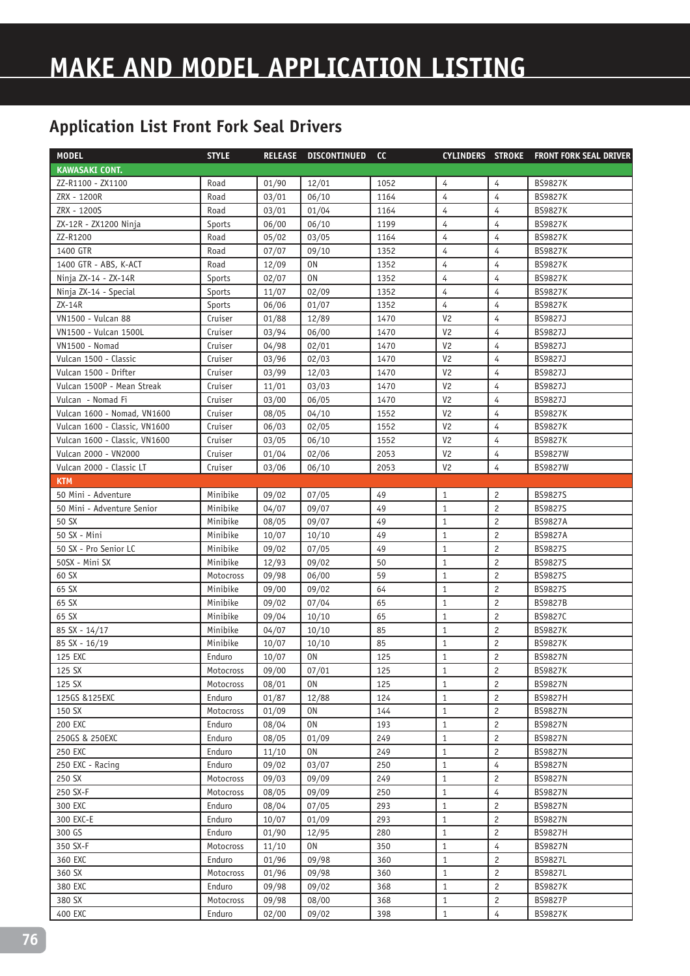## **MAKE AND MODEL APPLICATION LISTING**

| <b>MODEL</b>                  | <b>STYLE</b> |       | RELEASE DISCONTINUED | <b>CC</b> |                |                | CYLINDERS STROKE FRONT FORK SEAL DRIVER |
|-------------------------------|--------------|-------|----------------------|-----------|----------------|----------------|-----------------------------------------|
| <b>KAWASAKI CONT.</b>         |              |       |                      |           |                |                |                                         |
| ZZ-R1100 - ZX1100             | Road         | 01/90 | 12/01                | 1052      | 4              | 4              | <b>BS9827K</b>                          |
| ZRX - 1200R                   | Road         | 03/01 | 06/10                | 1164      | 4              | 4              | <b>BS9827K</b>                          |
| ZRX - 1200S                   | Road         | 03/01 | 01/04                | 1164      | 4              | 4              | <b>BS9827K</b>                          |
| ZX-12R - ZX1200 Ninja         | Sports       | 06/00 | 06/10                | 1199      | 4              | 4              | <b>BS9827K</b>                          |
| ZZ-R1200                      | Road         | 05/02 | 03/05                | 1164      | 4              | 4              | <b>BS9827K</b>                          |
| 1400 GTR                      | Road         | 07/07 | 09/10                | 1352      | $\overline{4}$ | 4              | <b>BS9827K</b>                          |
| 1400 GTR - ABS, K-ACT         | Road         | 12/09 | 0N                   | 1352      | 4              | 4              | <b>BS9827K</b>                          |
| Ninja ZX-14 - ZX-14R          | Sports       | 02/07 | 0N                   | 1352      | 4              | 4              | <b>BS9827K</b>                          |
| Ninja ZX-14 - Special         | Sports       | 11/07 | 02/09                | 1352      | 4              | 4              | <b>BS9827K</b>                          |
| ZX-14R                        | Sports       | 06/06 | 01/07                | 1352      | 4              | 4              | <b>BS9827K</b>                          |
| <b>VN1500 - Vulcan 88</b>     | Cruiser      | 01/88 | 12/89                | 1470      | V <sub>2</sub> | 4              | BS9827J                                 |
| VN1500 - Vulcan 1500L         | Cruiser      | 03/94 | 06/00                | 1470      | V <sub>2</sub> | 4              | BS9827J                                 |
| <b>VN1500 - Nomad</b>         | Cruiser      | 04/98 | 02/01                | 1470      | V <sub>2</sub> | 4              | BS9827J                                 |
| Vulcan 1500 - Classic         | Cruiser      | 03/96 | 02/03                | 1470      | V <sub>2</sub> | 4              | BS9827J                                 |
| Vulcan 1500 - Drifter         | Cruiser      | 03/99 | 12/03                | 1470      | V <sub>2</sub> | 4              | BS9827J                                 |
| Vulcan 1500P - Mean Streak    | Cruiser      | 11/01 | 03/03                | 1470      | V <sub>2</sub> | 4              | BS9827J                                 |
| Vulcan - Nomad Fi             | Cruiser      | 03/00 | 06/05                | 1470      | V <sub>2</sub> | 4              | BS9827J                                 |
| Vulcan 1600 - Nomad, VN1600   | Cruiser      | 08/05 | 04/10                | 1552      | V <sub>2</sub> | 4              | <b>BS9827K</b>                          |
| Vulcan 1600 - Classic, VN1600 | Cruiser      | 06/03 | 02/05                | 1552      | V <sub>2</sub> | 4              | <b>BS9827K</b>                          |
| Vulcan 1600 - Classic, VN1600 | Cruiser      | 03/05 | 06/10                | 1552      | V <sub>2</sub> | 4              | <b>BS9827K</b>                          |
| Vulcan 2000 - VN2000          | Cruiser      | 01/04 | 02/06                | 2053      | V <sub>2</sub> | 4              | <b>BS9827W</b>                          |
| Vulcan 2000 - Classic LT      | Cruiser      | 03/06 | 06/10                | 2053      | V <sub>2</sub> | 4              | <b>BS9827W</b>                          |
| <b>KTM</b>                    |              |       |                      |           |                |                |                                         |
| 50 Mini - Adventure           | Minibike     | 09/02 | 07/05                | 49        | $\mathbf{1}$   | 2              | <b>BS9827S</b>                          |
| 50 Mini - Adventure Senior    | Minibike     | 04/07 | 09/07                | 49        | $\mathbf{1}$   | $\overline{c}$ | <b>BS9827S</b>                          |
| 50 SX                         | Minibike     | 08/05 | 09/07                | 49        | $\mathbf{1}$   | 2              | <b>BS9827A</b>                          |
| 50 SX - Mini                  | Minibike     | 10/07 | 10/10                | 49        | $\mathbf{1}$   | $\overline{c}$ | <b>BS9827A</b>                          |
| 50 SX - Pro Senior LC         | Minibike     | 09/02 | 07/05                | 49        | $\mathbf{1}$   | $\overline{c}$ | <b>BS9827S</b>                          |
| 50SX - Mini SX                | Minibike     | 12/93 | 09/02                | 50        | $\mathbf{1}$   | $\overline{c}$ | <b>BS9827S</b>                          |
| 60 SX                         | Motocross    | 09/98 | 06/00                | 59        | $\mathbf{1}$   | $\overline{c}$ | <b>BS9827S</b>                          |
| 65 SX                         | Minibike     | 09/00 | 09/02                | 64        | $\mathbf{1}$   | $\overline{c}$ | BS9827S                                 |
| 65 SX                         | Minibike     | 09/02 | 07/04                | 65        | $\mathbf{1}$   | $\overline{c}$ | <b>BS9827B</b>                          |
| 65 SX                         | Minibike     | 09/04 | 10/10                | 65        | $\mathbf{1}$   | 2              | BS9827C                                 |
| 85 SX - 14/17                 | Minibike     | 04/07 | 10/10                | 85        | $\mathbf{1}$   | $\overline{c}$ | <b>BS9827K</b>                          |
| 85 SX - 16/19                 | Minibike     | 10/07 | 10/10                | 85        | $\mathbf{1}$   | 2              | <b>BS9827K</b>                          |
| 125 EXC                       | Enduro       | 10/07 | 0N                   | 125       | $\mathbf{1}$   | $\overline{c}$ | <b>BS9827N</b>                          |
| 125 SX                        | Motocross    | 09/00 | 07/01                | 125       | $\mathbf{1}$   | 2              | <b>BS9827K</b>                          |
| 125 SX                        | Motocross    | 08/01 | 0N                   | 125       | $\mathbf{1}$   | $\overline{c}$ | <b>BS9827N</b>                          |
| 125GS & 125EXC                | Enduro       | 01/87 | 12/88                | 124       | $\mathbf{1}$   | $\overline{c}$ | <b>BS9827H</b>                          |
| 150 SX                        | Motocross    | 01/09 | 0N                   | 144       | $\mathbf{1}$   | $\overline{c}$ | <b>BS9827N</b>                          |
| 200 EXC                       | Enduro       | 08/04 | 0N                   | 193       | $\mathbf{1}$   | $\overline{c}$ | <b>BS9827N</b>                          |
| 250GS & 250EXC                | Enduro       | 08/05 | 01/09                | 249       | $\mathbf{1}$   | $\overline{c}$ | <b>BS9827N</b>                          |
| 250 EXC                       | Enduro       | 11/10 | 0N                   | 249       | $\mathbf{1}$   | $\overline{c}$ | <b>BS9827N</b>                          |
| 250 EXC - Racing              | Enduro       | 09/02 | 03/07                | 250       | $\mathbf{1}$   | 4              | <b>BS9827N</b>                          |
| 250 SX                        | Motocross    | 09/03 | 09/09                | 249       | $\mathbf{1}$   | $\overline{c}$ | <b>BS9827N</b>                          |
| 250 SX-F                      | Motocross    | 08/05 | 09/09                | 250       | $1\,$          | 4              | <b>BS9827N</b>                          |
| 300 EXC                       | Enduro       | 08/04 | 07/05                | 293       | $\mathbf{1}$   | $\overline{c}$ | <b>BS9827N</b>                          |
| 300 EXC-E                     | Enduro       | 10/07 | 01/09                | 293       | $\mathbf{1}$   | $\overline{c}$ | <b>BS9827N</b>                          |
| 300 GS                        | Enduro       | 01/90 | 12/95                | 280       | $\mathbf{1}$   | $\overline{c}$ | BS9827H                                 |
| 350 SX-F                      | Motocross    | 11/10 | 0N                   | 350       | $\mathbf{1}$   | 4              | <b>BS9827N</b>                          |
| 360 EXC                       | Enduro       | 01/96 | 09/98                | 360       | $\mathbf{1}$   | 2              | <b>BS9827L</b>                          |
| 360 SX                        | Motocross    | 01/96 | 09/98                | 360       | $1\,$          | $\overline{c}$ | BS9827L                                 |
| 380 EXC                       | Enduro       | 09/98 | 09/02                | 368       | $\mathbf{1}$   | 2              | <b>BS9827K</b>                          |
| 380 SX                        | Motocross    | 09/98 | 08/00                | 368       | $\mathbf{1}$   | 2              | <b>BS9827P</b>                          |
| 400 EXC                       | Enduro       | 02/00 | 09/02                | 398       | $\mathbf{1}$   | 4              | <b>BS9827K</b>                          |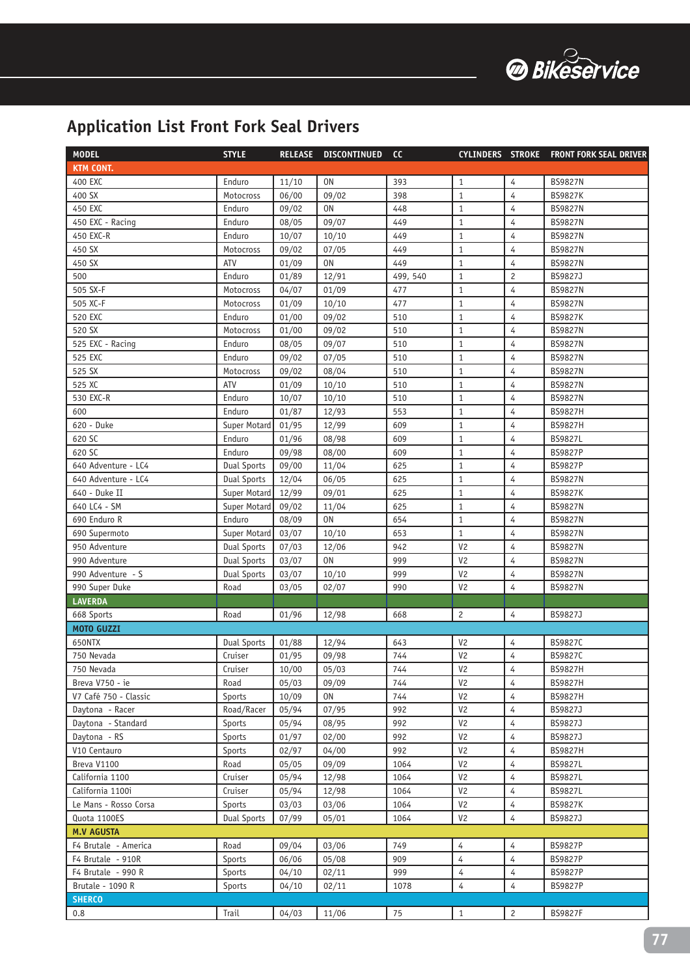

| <b>KTM CONT.</b><br>0 <sub>N</sub><br>4<br><b>BS9827N</b><br>400 EXC<br>Enduro<br>11/10<br>393<br>$1\,$<br>4<br>400 SX<br>06/00<br>09/02<br>$1\,$<br><b>BS9827K</b><br>Motocross<br>398<br>448<br>$1\,$<br>4<br>450 EXC<br>Enduro<br>09/02<br>0N<br><b>BS9827N</b><br>Enduro<br>449<br>$\mathbf 1$<br>4<br>450 EXC - Racing<br>08/05<br>09/07<br><b>BS9827N</b><br>$1\,$<br>450 EXC-R<br>Enduro<br>10/07<br>449<br>4<br>10/10<br><b>BS9827N</b><br>449<br>$\mathbf 1$<br>4<br>450 SX<br>09/02<br>07/05<br><b>BS9827N</b><br>Motocross<br>ATV<br>449<br>$1\,$<br>450 SX<br>01/09<br>0N<br>4<br><b>BS9827N</b><br>$\overline{c}$<br>01/89<br>499, 540<br>$\mathbf 1$<br>500<br>Enduro<br>12/91<br>BS9827J<br>$\overline{4}$<br>$\mathbf 1$<br>505 SX-F<br>04/07<br>01/09<br>477<br><b>BS9827N</b><br>Motocross<br>$\overline{4}$<br>01/09<br>477<br>$1\,$<br>505 XC-F<br>10/10<br><b>BS9827N</b><br>Motocross<br>4<br>520 EXC<br>01/00<br>09/02<br>510<br>$\mathbf{1}$<br><b>BS9827K</b><br>Enduro<br>520 SX<br>01/00<br>09/02<br>$1\,$<br>4<br>Motocross<br>510<br><b>BS9827N</b><br>4<br>525 EXC - Racing<br>Enduro<br>08/05<br>09/07<br>510<br>$\mathbf{1}$<br><b>BS9827N</b><br>525 EXC<br>Enduro<br>09/02<br>07/05<br>510<br>$1\,$<br>4<br><b>BS9827N</b><br>525 SX<br>$1\,$<br><b>BS9827N</b><br>Motocross<br>09/02<br>08/04<br>510<br>4<br>525 XC<br>ATV<br><b>BS9827N</b><br>01/09<br>10/10<br>510<br>$\mathbf{1}$<br>4<br>4<br><b>BS9827N</b><br>530 EXC-R<br>Enduro<br>10/07<br>10/10<br>510<br>$\mathbf{1}$<br>4<br>600<br>Enduro<br>01/87<br>12/93<br>553<br>$1\,$<br><b>BS9827H</b><br>4<br>620 - Duke<br>01/95<br>12/99<br>609<br>$1\,$<br><b>BS9827H</b><br>Super Motard<br>620 SC<br>Enduro<br>01/96<br>$1\,$<br>4<br>08/98<br>609<br><b>BS9827L</b><br>4<br>620 SC<br>Enduro<br>09/98<br>08/00<br>609<br>$\mathbf{1}$<br><b>BS9827P</b><br>4<br>640 Adventure - LC4<br>09/00<br>11/04<br>625<br>$1\,$<br><b>BS9827P</b><br><b>Dual Sports</b><br>12/04<br>06/05<br>625<br>$\mathbf{1}$<br>$\overline{4}$<br>640 Adventure - LC4<br><b>Dual Sports</b><br><b>BS9827N</b><br>640 - Duke II<br>12/99<br>$\mathbf{1}$<br>4<br>Super Motard<br>09/01<br>625<br><b>BS9827K</b><br>640 LC4 - SM<br>09/02<br>625<br>Super Motard<br>11/04<br>$\mathbf{1}$<br>4<br><b>BS9827N</b><br>4<br>08/09<br>0 <sub>N</sub><br>654<br>690 Enduro R<br>Enduro<br>$\mathbf{1}$<br><b>BS9827N</b><br>4<br>03/07<br>Super Motard<br>10/10<br>653<br>$\mathbf{1}$<br><b>BS9827N</b><br>690 Supermoto<br>$\overline{4}$<br>07/03<br>V <sub>2</sub><br>942<br><b>BS9827N</b><br>950 Adventure<br>Dual Sports<br>12/06<br>0 <sub>N</sub><br>V <sub>2</sub><br><b>Dual Sports</b><br>03/07<br>999<br>4<br><b>BS9827N</b><br>990 Adventure<br>990 Adventure - S<br>V <sub>2</sub><br>4<br><b>Dual Sports</b><br>03/07<br>10/10<br>999<br><b>BS9827N</b><br>V <sub>2</sub><br>4<br>990 Super Duke<br>Road<br>03/05<br>02/07<br>990<br><b>BS9827N</b><br><b>LAVERDA</b><br>668 Sports<br>Road<br>01/96<br>12/98<br>668<br>$\overline{c}$<br>4<br>BS9827J<br><b>MOTO GUZZI</b><br>V <sub>2</sub><br>650NTX<br><b>Dual Sports</b><br>01/88<br>12/94<br>643<br>BS9827C<br>4<br>01/95<br>V <sub>2</sub><br>4<br>750 Nevada<br>Cruiser<br>09/98<br>744<br>BS9827C<br>750 Nevada<br>10/00<br>05/03<br>744<br>V <sub>2</sub><br>4<br><b>BS9827H</b><br>Cruiser<br>4<br>Breva V750 - ie<br>744<br>V <sub>2</sub><br><b>BS9827H</b><br>Road<br>05/03<br>09/09<br>V7 Café 750 - Classic<br>V <sub>2</sub><br>4<br>Sports<br>10/09<br>0N<br>744<br>BS9827H<br>V <sub>2</sub><br>4<br>Daytona - Racer<br>Road/Racer<br>05/94<br>07/95<br>992<br>BS9827J<br>V <sub>2</sub><br>Daytona - Standard<br>4<br>Sports<br>05/94<br>08/95<br>992<br>BS9827J<br>Daytona - RS<br>V <sub>2</sub><br>4<br>Sports<br>01/97<br>02/00<br>992<br>BS9827J<br>V <sub>2</sub><br>$\overline{4}$<br>V10 Centauro<br>Sports<br>02/97<br>04/00<br>992<br><b>BS9827H</b><br>V <sub>2</sub><br>1064<br>4<br><b>BS9827L</b><br>Breva V1100<br>Road<br>05/05<br>09/09<br>V <sub>2</sub><br>05/94<br>12/98<br>1064<br>4<br><b>BS9827L</b><br>California 1100<br>Cruiser<br>V <sub>2</sub><br>4<br>California 1100i<br>05/94<br>12/98<br>1064<br>BS9827L<br>Cruiser<br>4<br>03/03<br>1064<br>V <sub>2</sub><br>Le Mans - Rosso Corsa<br>Sports<br>03/06<br><b>BS9827K</b><br>V <sub>2</sub><br>4<br>Quota 1100ES<br>Dual Sports<br>07/99<br>05/01<br>1064<br>BS9827J<br><b>M.V AGUSTA</b><br><b>BS9827P</b><br>F4 Brutale - America<br>Road<br>09/04<br>03/06<br>749<br>4<br>4<br>F4 Brutale - 910R<br>06/06<br>05/08<br>909<br>4<br>4<br><b>BS9827P</b><br>Sports<br>F4 Brutale - 990 R<br>04/10<br>999<br>4<br><b>BS9827P</b><br>Sports<br>02/11<br>4<br>1078<br>4<br>4<br><b>BS9827P</b><br>Brutale - 1090 R<br>Sports<br>04/10<br>02/11<br><b>SHERCO</b><br>$\mathbf{2}$<br><b>BS9827F</b><br>0.8<br>04/03<br>$\mathbf{1}$ | <b>MODEL</b> | <b>STYLE</b> | <b>RELEASE</b> | <b>DISCONTINUED</b> | cc |  | CYLINDERS STROKE FRONT FORK SEAL DRIVER |
|-----------------------------------------------------------------------------------------------------------------------------------------------------------------------------------------------------------------------------------------------------------------------------------------------------------------------------------------------------------------------------------------------------------------------------------------------------------------------------------------------------------------------------------------------------------------------------------------------------------------------------------------------------------------------------------------------------------------------------------------------------------------------------------------------------------------------------------------------------------------------------------------------------------------------------------------------------------------------------------------------------------------------------------------------------------------------------------------------------------------------------------------------------------------------------------------------------------------------------------------------------------------------------------------------------------------------------------------------------------------------------------------------------------------------------------------------------------------------------------------------------------------------------------------------------------------------------------------------------------------------------------------------------------------------------------------------------------------------------------------------------------------------------------------------------------------------------------------------------------------------------------------------------------------------------------------------------------------------------------------------------------------------------------------------------------------------------------------------------------------------------------------------------------------------------------------------------------------------------------------------------------------------------------------------------------------------------------------------------------------------------------------------------------------------------------------------------------------------------------------------------------------------------------------------------------------------------------------------------------------------------------------------------------------------------------------------------------------------------------------------------------------------------------------------------------------------------------------------------------------------------------------------------------------------------------------------------------------------------------------------------------------------------------------------------------------------------------------------------------------------------------------------------------------------------------------------------------------------------------------------------------------------------------------------------------------------------------------------------------------------------------------------------------------------------------------------------------------------------------------------------------------------------------------------------------------------------------------------------------------------------------------------------------------------------------------------------------------------------------------------------------------------------------------------------------------------------------------------------------------------------------------------------------------------------------------------------------------------------------------------------------------------------------------------------------------------------------------------------------------------------------------------------------------------------------------------------------------------------------------------------------------------------------------------------------------------------------------------------------------------------------------------------------------------------------------------------------------------------------------------------------------------------------------------------------------------------------------------------------------------------------------------------------------------------------------------------------------------------------------------------------------------------------------------------------------------------------------------------------------------|--------------|--------------|----------------|---------------------|----|--|-----------------------------------------|
|                                                                                                                                                                                                                                                                                                                                                                                                                                                                                                                                                                                                                                                                                                                                                                                                                                                                                                                                                                                                                                                                                                                                                                                                                                                                                                                                                                                                                                                                                                                                                                                                                                                                                                                                                                                                                                                                                                                                                                                                                                                                                                                                                                                                                                                                                                                                                                                                                                                                                                                                                                                                                                                                                                                                                                                                                                                                                                                                                                                                                                                                                                                                                                                                                                                                                                                                                                                                                                                                                                                                                                                                                                                                                                                                                                                                                                                                                                                                                                                                                                                                                                                                                                                                                                                                                                                                                                                                                                                                                                                                                                                                                                                                                                                                                                                                                                                                       |              |              |                |                     |    |  |                                         |
|                                                                                                                                                                                                                                                                                                                                                                                                                                                                                                                                                                                                                                                                                                                                                                                                                                                                                                                                                                                                                                                                                                                                                                                                                                                                                                                                                                                                                                                                                                                                                                                                                                                                                                                                                                                                                                                                                                                                                                                                                                                                                                                                                                                                                                                                                                                                                                                                                                                                                                                                                                                                                                                                                                                                                                                                                                                                                                                                                                                                                                                                                                                                                                                                                                                                                                                                                                                                                                                                                                                                                                                                                                                                                                                                                                                                                                                                                                                                                                                                                                                                                                                                                                                                                                                                                                                                                                                                                                                                                                                                                                                                                                                                                                                                                                                                                                                                       |              |              |                |                     |    |  |                                         |
|                                                                                                                                                                                                                                                                                                                                                                                                                                                                                                                                                                                                                                                                                                                                                                                                                                                                                                                                                                                                                                                                                                                                                                                                                                                                                                                                                                                                                                                                                                                                                                                                                                                                                                                                                                                                                                                                                                                                                                                                                                                                                                                                                                                                                                                                                                                                                                                                                                                                                                                                                                                                                                                                                                                                                                                                                                                                                                                                                                                                                                                                                                                                                                                                                                                                                                                                                                                                                                                                                                                                                                                                                                                                                                                                                                                                                                                                                                                                                                                                                                                                                                                                                                                                                                                                                                                                                                                                                                                                                                                                                                                                                                                                                                                                                                                                                                                                       |              |              |                |                     |    |  |                                         |
|                                                                                                                                                                                                                                                                                                                                                                                                                                                                                                                                                                                                                                                                                                                                                                                                                                                                                                                                                                                                                                                                                                                                                                                                                                                                                                                                                                                                                                                                                                                                                                                                                                                                                                                                                                                                                                                                                                                                                                                                                                                                                                                                                                                                                                                                                                                                                                                                                                                                                                                                                                                                                                                                                                                                                                                                                                                                                                                                                                                                                                                                                                                                                                                                                                                                                                                                                                                                                                                                                                                                                                                                                                                                                                                                                                                                                                                                                                                                                                                                                                                                                                                                                                                                                                                                                                                                                                                                                                                                                                                                                                                                                                                                                                                                                                                                                                                                       |              |              |                |                     |    |  |                                         |
|                                                                                                                                                                                                                                                                                                                                                                                                                                                                                                                                                                                                                                                                                                                                                                                                                                                                                                                                                                                                                                                                                                                                                                                                                                                                                                                                                                                                                                                                                                                                                                                                                                                                                                                                                                                                                                                                                                                                                                                                                                                                                                                                                                                                                                                                                                                                                                                                                                                                                                                                                                                                                                                                                                                                                                                                                                                                                                                                                                                                                                                                                                                                                                                                                                                                                                                                                                                                                                                                                                                                                                                                                                                                                                                                                                                                                                                                                                                                                                                                                                                                                                                                                                                                                                                                                                                                                                                                                                                                                                                                                                                                                                                                                                                                                                                                                                                                       |              |              |                |                     |    |  |                                         |
|                                                                                                                                                                                                                                                                                                                                                                                                                                                                                                                                                                                                                                                                                                                                                                                                                                                                                                                                                                                                                                                                                                                                                                                                                                                                                                                                                                                                                                                                                                                                                                                                                                                                                                                                                                                                                                                                                                                                                                                                                                                                                                                                                                                                                                                                                                                                                                                                                                                                                                                                                                                                                                                                                                                                                                                                                                                                                                                                                                                                                                                                                                                                                                                                                                                                                                                                                                                                                                                                                                                                                                                                                                                                                                                                                                                                                                                                                                                                                                                                                                                                                                                                                                                                                                                                                                                                                                                                                                                                                                                                                                                                                                                                                                                                                                                                                                                                       |              |              |                |                     |    |  |                                         |
|                                                                                                                                                                                                                                                                                                                                                                                                                                                                                                                                                                                                                                                                                                                                                                                                                                                                                                                                                                                                                                                                                                                                                                                                                                                                                                                                                                                                                                                                                                                                                                                                                                                                                                                                                                                                                                                                                                                                                                                                                                                                                                                                                                                                                                                                                                                                                                                                                                                                                                                                                                                                                                                                                                                                                                                                                                                                                                                                                                                                                                                                                                                                                                                                                                                                                                                                                                                                                                                                                                                                                                                                                                                                                                                                                                                                                                                                                                                                                                                                                                                                                                                                                                                                                                                                                                                                                                                                                                                                                                                                                                                                                                                                                                                                                                                                                                                                       |              |              |                |                     |    |  |                                         |
|                                                                                                                                                                                                                                                                                                                                                                                                                                                                                                                                                                                                                                                                                                                                                                                                                                                                                                                                                                                                                                                                                                                                                                                                                                                                                                                                                                                                                                                                                                                                                                                                                                                                                                                                                                                                                                                                                                                                                                                                                                                                                                                                                                                                                                                                                                                                                                                                                                                                                                                                                                                                                                                                                                                                                                                                                                                                                                                                                                                                                                                                                                                                                                                                                                                                                                                                                                                                                                                                                                                                                                                                                                                                                                                                                                                                                                                                                                                                                                                                                                                                                                                                                                                                                                                                                                                                                                                                                                                                                                                                                                                                                                                                                                                                                                                                                                                                       |              |              |                |                     |    |  |                                         |
|                                                                                                                                                                                                                                                                                                                                                                                                                                                                                                                                                                                                                                                                                                                                                                                                                                                                                                                                                                                                                                                                                                                                                                                                                                                                                                                                                                                                                                                                                                                                                                                                                                                                                                                                                                                                                                                                                                                                                                                                                                                                                                                                                                                                                                                                                                                                                                                                                                                                                                                                                                                                                                                                                                                                                                                                                                                                                                                                                                                                                                                                                                                                                                                                                                                                                                                                                                                                                                                                                                                                                                                                                                                                                                                                                                                                                                                                                                                                                                                                                                                                                                                                                                                                                                                                                                                                                                                                                                                                                                                                                                                                                                                                                                                                                                                                                                                                       |              |              |                |                     |    |  |                                         |
|                                                                                                                                                                                                                                                                                                                                                                                                                                                                                                                                                                                                                                                                                                                                                                                                                                                                                                                                                                                                                                                                                                                                                                                                                                                                                                                                                                                                                                                                                                                                                                                                                                                                                                                                                                                                                                                                                                                                                                                                                                                                                                                                                                                                                                                                                                                                                                                                                                                                                                                                                                                                                                                                                                                                                                                                                                                                                                                                                                                                                                                                                                                                                                                                                                                                                                                                                                                                                                                                                                                                                                                                                                                                                                                                                                                                                                                                                                                                                                                                                                                                                                                                                                                                                                                                                                                                                                                                                                                                                                                                                                                                                                                                                                                                                                                                                                                                       |              |              |                |                     |    |  |                                         |
|                                                                                                                                                                                                                                                                                                                                                                                                                                                                                                                                                                                                                                                                                                                                                                                                                                                                                                                                                                                                                                                                                                                                                                                                                                                                                                                                                                                                                                                                                                                                                                                                                                                                                                                                                                                                                                                                                                                                                                                                                                                                                                                                                                                                                                                                                                                                                                                                                                                                                                                                                                                                                                                                                                                                                                                                                                                                                                                                                                                                                                                                                                                                                                                                                                                                                                                                                                                                                                                                                                                                                                                                                                                                                                                                                                                                                                                                                                                                                                                                                                                                                                                                                                                                                                                                                                                                                                                                                                                                                                                                                                                                                                                                                                                                                                                                                                                                       |              |              |                |                     |    |  |                                         |
|                                                                                                                                                                                                                                                                                                                                                                                                                                                                                                                                                                                                                                                                                                                                                                                                                                                                                                                                                                                                                                                                                                                                                                                                                                                                                                                                                                                                                                                                                                                                                                                                                                                                                                                                                                                                                                                                                                                                                                                                                                                                                                                                                                                                                                                                                                                                                                                                                                                                                                                                                                                                                                                                                                                                                                                                                                                                                                                                                                                                                                                                                                                                                                                                                                                                                                                                                                                                                                                                                                                                                                                                                                                                                                                                                                                                                                                                                                                                                                                                                                                                                                                                                                                                                                                                                                                                                                                                                                                                                                                                                                                                                                                                                                                                                                                                                                                                       |              |              |                |                     |    |  |                                         |
|                                                                                                                                                                                                                                                                                                                                                                                                                                                                                                                                                                                                                                                                                                                                                                                                                                                                                                                                                                                                                                                                                                                                                                                                                                                                                                                                                                                                                                                                                                                                                                                                                                                                                                                                                                                                                                                                                                                                                                                                                                                                                                                                                                                                                                                                                                                                                                                                                                                                                                                                                                                                                                                                                                                                                                                                                                                                                                                                                                                                                                                                                                                                                                                                                                                                                                                                                                                                                                                                                                                                                                                                                                                                                                                                                                                                                                                                                                                                                                                                                                                                                                                                                                                                                                                                                                                                                                                                                                                                                                                                                                                                                                                                                                                                                                                                                                                                       |              |              |                |                     |    |  |                                         |
|                                                                                                                                                                                                                                                                                                                                                                                                                                                                                                                                                                                                                                                                                                                                                                                                                                                                                                                                                                                                                                                                                                                                                                                                                                                                                                                                                                                                                                                                                                                                                                                                                                                                                                                                                                                                                                                                                                                                                                                                                                                                                                                                                                                                                                                                                                                                                                                                                                                                                                                                                                                                                                                                                                                                                                                                                                                                                                                                                                                                                                                                                                                                                                                                                                                                                                                                                                                                                                                                                                                                                                                                                                                                                                                                                                                                                                                                                                                                                                                                                                                                                                                                                                                                                                                                                                                                                                                                                                                                                                                                                                                                                                                                                                                                                                                                                                                                       |              |              |                |                     |    |  |                                         |
|                                                                                                                                                                                                                                                                                                                                                                                                                                                                                                                                                                                                                                                                                                                                                                                                                                                                                                                                                                                                                                                                                                                                                                                                                                                                                                                                                                                                                                                                                                                                                                                                                                                                                                                                                                                                                                                                                                                                                                                                                                                                                                                                                                                                                                                                                                                                                                                                                                                                                                                                                                                                                                                                                                                                                                                                                                                                                                                                                                                                                                                                                                                                                                                                                                                                                                                                                                                                                                                                                                                                                                                                                                                                                                                                                                                                                                                                                                                                                                                                                                                                                                                                                                                                                                                                                                                                                                                                                                                                                                                                                                                                                                                                                                                                                                                                                                                                       |              |              |                |                     |    |  |                                         |
|                                                                                                                                                                                                                                                                                                                                                                                                                                                                                                                                                                                                                                                                                                                                                                                                                                                                                                                                                                                                                                                                                                                                                                                                                                                                                                                                                                                                                                                                                                                                                                                                                                                                                                                                                                                                                                                                                                                                                                                                                                                                                                                                                                                                                                                                                                                                                                                                                                                                                                                                                                                                                                                                                                                                                                                                                                                                                                                                                                                                                                                                                                                                                                                                                                                                                                                                                                                                                                                                                                                                                                                                                                                                                                                                                                                                                                                                                                                                                                                                                                                                                                                                                                                                                                                                                                                                                                                                                                                                                                                                                                                                                                                                                                                                                                                                                                                                       |              |              |                |                     |    |  |                                         |
|                                                                                                                                                                                                                                                                                                                                                                                                                                                                                                                                                                                                                                                                                                                                                                                                                                                                                                                                                                                                                                                                                                                                                                                                                                                                                                                                                                                                                                                                                                                                                                                                                                                                                                                                                                                                                                                                                                                                                                                                                                                                                                                                                                                                                                                                                                                                                                                                                                                                                                                                                                                                                                                                                                                                                                                                                                                                                                                                                                                                                                                                                                                                                                                                                                                                                                                                                                                                                                                                                                                                                                                                                                                                                                                                                                                                                                                                                                                                                                                                                                                                                                                                                                                                                                                                                                                                                                                                                                                                                                                                                                                                                                                                                                                                                                                                                                                                       |              |              |                |                     |    |  |                                         |
|                                                                                                                                                                                                                                                                                                                                                                                                                                                                                                                                                                                                                                                                                                                                                                                                                                                                                                                                                                                                                                                                                                                                                                                                                                                                                                                                                                                                                                                                                                                                                                                                                                                                                                                                                                                                                                                                                                                                                                                                                                                                                                                                                                                                                                                                                                                                                                                                                                                                                                                                                                                                                                                                                                                                                                                                                                                                                                                                                                                                                                                                                                                                                                                                                                                                                                                                                                                                                                                                                                                                                                                                                                                                                                                                                                                                                                                                                                                                                                                                                                                                                                                                                                                                                                                                                                                                                                                                                                                                                                                                                                                                                                                                                                                                                                                                                                                                       |              |              |                |                     |    |  |                                         |
|                                                                                                                                                                                                                                                                                                                                                                                                                                                                                                                                                                                                                                                                                                                                                                                                                                                                                                                                                                                                                                                                                                                                                                                                                                                                                                                                                                                                                                                                                                                                                                                                                                                                                                                                                                                                                                                                                                                                                                                                                                                                                                                                                                                                                                                                                                                                                                                                                                                                                                                                                                                                                                                                                                                                                                                                                                                                                                                                                                                                                                                                                                                                                                                                                                                                                                                                                                                                                                                                                                                                                                                                                                                                                                                                                                                                                                                                                                                                                                                                                                                                                                                                                                                                                                                                                                                                                                                                                                                                                                                                                                                                                                                                                                                                                                                                                                                                       |              |              |                |                     |    |  |                                         |
|                                                                                                                                                                                                                                                                                                                                                                                                                                                                                                                                                                                                                                                                                                                                                                                                                                                                                                                                                                                                                                                                                                                                                                                                                                                                                                                                                                                                                                                                                                                                                                                                                                                                                                                                                                                                                                                                                                                                                                                                                                                                                                                                                                                                                                                                                                                                                                                                                                                                                                                                                                                                                                                                                                                                                                                                                                                                                                                                                                                                                                                                                                                                                                                                                                                                                                                                                                                                                                                                                                                                                                                                                                                                                                                                                                                                                                                                                                                                                                                                                                                                                                                                                                                                                                                                                                                                                                                                                                                                                                                                                                                                                                                                                                                                                                                                                                                                       |              |              |                |                     |    |  |                                         |
|                                                                                                                                                                                                                                                                                                                                                                                                                                                                                                                                                                                                                                                                                                                                                                                                                                                                                                                                                                                                                                                                                                                                                                                                                                                                                                                                                                                                                                                                                                                                                                                                                                                                                                                                                                                                                                                                                                                                                                                                                                                                                                                                                                                                                                                                                                                                                                                                                                                                                                                                                                                                                                                                                                                                                                                                                                                                                                                                                                                                                                                                                                                                                                                                                                                                                                                                                                                                                                                                                                                                                                                                                                                                                                                                                                                                                                                                                                                                                                                                                                                                                                                                                                                                                                                                                                                                                                                                                                                                                                                                                                                                                                                                                                                                                                                                                                                                       |              |              |                |                     |    |  |                                         |
|                                                                                                                                                                                                                                                                                                                                                                                                                                                                                                                                                                                                                                                                                                                                                                                                                                                                                                                                                                                                                                                                                                                                                                                                                                                                                                                                                                                                                                                                                                                                                                                                                                                                                                                                                                                                                                                                                                                                                                                                                                                                                                                                                                                                                                                                                                                                                                                                                                                                                                                                                                                                                                                                                                                                                                                                                                                                                                                                                                                                                                                                                                                                                                                                                                                                                                                                                                                                                                                                                                                                                                                                                                                                                                                                                                                                                                                                                                                                                                                                                                                                                                                                                                                                                                                                                                                                                                                                                                                                                                                                                                                                                                                                                                                                                                                                                                                                       |              |              |                |                     |    |  |                                         |
|                                                                                                                                                                                                                                                                                                                                                                                                                                                                                                                                                                                                                                                                                                                                                                                                                                                                                                                                                                                                                                                                                                                                                                                                                                                                                                                                                                                                                                                                                                                                                                                                                                                                                                                                                                                                                                                                                                                                                                                                                                                                                                                                                                                                                                                                                                                                                                                                                                                                                                                                                                                                                                                                                                                                                                                                                                                                                                                                                                                                                                                                                                                                                                                                                                                                                                                                                                                                                                                                                                                                                                                                                                                                                                                                                                                                                                                                                                                                                                                                                                                                                                                                                                                                                                                                                                                                                                                                                                                                                                                                                                                                                                                                                                                                                                                                                                                                       |              |              |                |                     |    |  |                                         |
|                                                                                                                                                                                                                                                                                                                                                                                                                                                                                                                                                                                                                                                                                                                                                                                                                                                                                                                                                                                                                                                                                                                                                                                                                                                                                                                                                                                                                                                                                                                                                                                                                                                                                                                                                                                                                                                                                                                                                                                                                                                                                                                                                                                                                                                                                                                                                                                                                                                                                                                                                                                                                                                                                                                                                                                                                                                                                                                                                                                                                                                                                                                                                                                                                                                                                                                                                                                                                                                                                                                                                                                                                                                                                                                                                                                                                                                                                                                                                                                                                                                                                                                                                                                                                                                                                                                                                                                                                                                                                                                                                                                                                                                                                                                                                                                                                                                                       |              |              |                |                     |    |  |                                         |
|                                                                                                                                                                                                                                                                                                                                                                                                                                                                                                                                                                                                                                                                                                                                                                                                                                                                                                                                                                                                                                                                                                                                                                                                                                                                                                                                                                                                                                                                                                                                                                                                                                                                                                                                                                                                                                                                                                                                                                                                                                                                                                                                                                                                                                                                                                                                                                                                                                                                                                                                                                                                                                                                                                                                                                                                                                                                                                                                                                                                                                                                                                                                                                                                                                                                                                                                                                                                                                                                                                                                                                                                                                                                                                                                                                                                                                                                                                                                                                                                                                                                                                                                                                                                                                                                                                                                                                                                                                                                                                                                                                                                                                                                                                                                                                                                                                                                       |              |              |                |                     |    |  |                                         |
|                                                                                                                                                                                                                                                                                                                                                                                                                                                                                                                                                                                                                                                                                                                                                                                                                                                                                                                                                                                                                                                                                                                                                                                                                                                                                                                                                                                                                                                                                                                                                                                                                                                                                                                                                                                                                                                                                                                                                                                                                                                                                                                                                                                                                                                                                                                                                                                                                                                                                                                                                                                                                                                                                                                                                                                                                                                                                                                                                                                                                                                                                                                                                                                                                                                                                                                                                                                                                                                                                                                                                                                                                                                                                                                                                                                                                                                                                                                                                                                                                                                                                                                                                                                                                                                                                                                                                                                                                                                                                                                                                                                                                                                                                                                                                                                                                                                                       |              |              |                |                     |    |  |                                         |
|                                                                                                                                                                                                                                                                                                                                                                                                                                                                                                                                                                                                                                                                                                                                                                                                                                                                                                                                                                                                                                                                                                                                                                                                                                                                                                                                                                                                                                                                                                                                                                                                                                                                                                                                                                                                                                                                                                                                                                                                                                                                                                                                                                                                                                                                                                                                                                                                                                                                                                                                                                                                                                                                                                                                                                                                                                                                                                                                                                                                                                                                                                                                                                                                                                                                                                                                                                                                                                                                                                                                                                                                                                                                                                                                                                                                                                                                                                                                                                                                                                                                                                                                                                                                                                                                                                                                                                                                                                                                                                                                                                                                                                                                                                                                                                                                                                                                       |              |              |                |                     |    |  |                                         |
|                                                                                                                                                                                                                                                                                                                                                                                                                                                                                                                                                                                                                                                                                                                                                                                                                                                                                                                                                                                                                                                                                                                                                                                                                                                                                                                                                                                                                                                                                                                                                                                                                                                                                                                                                                                                                                                                                                                                                                                                                                                                                                                                                                                                                                                                                                                                                                                                                                                                                                                                                                                                                                                                                                                                                                                                                                                                                                                                                                                                                                                                                                                                                                                                                                                                                                                                                                                                                                                                                                                                                                                                                                                                                                                                                                                                                                                                                                                                                                                                                                                                                                                                                                                                                                                                                                                                                                                                                                                                                                                                                                                                                                                                                                                                                                                                                                                                       |              |              |                |                     |    |  |                                         |
|                                                                                                                                                                                                                                                                                                                                                                                                                                                                                                                                                                                                                                                                                                                                                                                                                                                                                                                                                                                                                                                                                                                                                                                                                                                                                                                                                                                                                                                                                                                                                                                                                                                                                                                                                                                                                                                                                                                                                                                                                                                                                                                                                                                                                                                                                                                                                                                                                                                                                                                                                                                                                                                                                                                                                                                                                                                                                                                                                                                                                                                                                                                                                                                                                                                                                                                                                                                                                                                                                                                                                                                                                                                                                                                                                                                                                                                                                                                                                                                                                                                                                                                                                                                                                                                                                                                                                                                                                                                                                                                                                                                                                                                                                                                                                                                                                                                                       |              |              |                |                     |    |  |                                         |
|                                                                                                                                                                                                                                                                                                                                                                                                                                                                                                                                                                                                                                                                                                                                                                                                                                                                                                                                                                                                                                                                                                                                                                                                                                                                                                                                                                                                                                                                                                                                                                                                                                                                                                                                                                                                                                                                                                                                                                                                                                                                                                                                                                                                                                                                                                                                                                                                                                                                                                                                                                                                                                                                                                                                                                                                                                                                                                                                                                                                                                                                                                                                                                                                                                                                                                                                                                                                                                                                                                                                                                                                                                                                                                                                                                                                                                                                                                                                                                                                                                                                                                                                                                                                                                                                                                                                                                                                                                                                                                                                                                                                                                                                                                                                                                                                                                                                       |              |              |                |                     |    |  |                                         |
|                                                                                                                                                                                                                                                                                                                                                                                                                                                                                                                                                                                                                                                                                                                                                                                                                                                                                                                                                                                                                                                                                                                                                                                                                                                                                                                                                                                                                                                                                                                                                                                                                                                                                                                                                                                                                                                                                                                                                                                                                                                                                                                                                                                                                                                                                                                                                                                                                                                                                                                                                                                                                                                                                                                                                                                                                                                                                                                                                                                                                                                                                                                                                                                                                                                                                                                                                                                                                                                                                                                                                                                                                                                                                                                                                                                                                                                                                                                                                                                                                                                                                                                                                                                                                                                                                                                                                                                                                                                                                                                                                                                                                                                                                                                                                                                                                                                                       |              |              |                |                     |    |  |                                         |
|                                                                                                                                                                                                                                                                                                                                                                                                                                                                                                                                                                                                                                                                                                                                                                                                                                                                                                                                                                                                                                                                                                                                                                                                                                                                                                                                                                                                                                                                                                                                                                                                                                                                                                                                                                                                                                                                                                                                                                                                                                                                                                                                                                                                                                                                                                                                                                                                                                                                                                                                                                                                                                                                                                                                                                                                                                                                                                                                                                                                                                                                                                                                                                                                                                                                                                                                                                                                                                                                                                                                                                                                                                                                                                                                                                                                                                                                                                                                                                                                                                                                                                                                                                                                                                                                                                                                                                                                                                                                                                                                                                                                                                                                                                                                                                                                                                                                       |              |              |                |                     |    |  |                                         |
|                                                                                                                                                                                                                                                                                                                                                                                                                                                                                                                                                                                                                                                                                                                                                                                                                                                                                                                                                                                                                                                                                                                                                                                                                                                                                                                                                                                                                                                                                                                                                                                                                                                                                                                                                                                                                                                                                                                                                                                                                                                                                                                                                                                                                                                                                                                                                                                                                                                                                                                                                                                                                                                                                                                                                                                                                                                                                                                                                                                                                                                                                                                                                                                                                                                                                                                                                                                                                                                                                                                                                                                                                                                                                                                                                                                                                                                                                                                                                                                                                                                                                                                                                                                                                                                                                                                                                                                                                                                                                                                                                                                                                                                                                                                                                                                                                                                                       |              |              |                |                     |    |  |                                         |
|                                                                                                                                                                                                                                                                                                                                                                                                                                                                                                                                                                                                                                                                                                                                                                                                                                                                                                                                                                                                                                                                                                                                                                                                                                                                                                                                                                                                                                                                                                                                                                                                                                                                                                                                                                                                                                                                                                                                                                                                                                                                                                                                                                                                                                                                                                                                                                                                                                                                                                                                                                                                                                                                                                                                                                                                                                                                                                                                                                                                                                                                                                                                                                                                                                                                                                                                                                                                                                                                                                                                                                                                                                                                                                                                                                                                                                                                                                                                                                                                                                                                                                                                                                                                                                                                                                                                                                                                                                                                                                                                                                                                                                                                                                                                                                                                                                                                       |              |              |                |                     |    |  |                                         |
|                                                                                                                                                                                                                                                                                                                                                                                                                                                                                                                                                                                                                                                                                                                                                                                                                                                                                                                                                                                                                                                                                                                                                                                                                                                                                                                                                                                                                                                                                                                                                                                                                                                                                                                                                                                                                                                                                                                                                                                                                                                                                                                                                                                                                                                                                                                                                                                                                                                                                                                                                                                                                                                                                                                                                                                                                                                                                                                                                                                                                                                                                                                                                                                                                                                                                                                                                                                                                                                                                                                                                                                                                                                                                                                                                                                                                                                                                                                                                                                                                                                                                                                                                                                                                                                                                                                                                                                                                                                                                                                                                                                                                                                                                                                                                                                                                                                                       |              |              |                |                     |    |  |                                         |
|                                                                                                                                                                                                                                                                                                                                                                                                                                                                                                                                                                                                                                                                                                                                                                                                                                                                                                                                                                                                                                                                                                                                                                                                                                                                                                                                                                                                                                                                                                                                                                                                                                                                                                                                                                                                                                                                                                                                                                                                                                                                                                                                                                                                                                                                                                                                                                                                                                                                                                                                                                                                                                                                                                                                                                                                                                                                                                                                                                                                                                                                                                                                                                                                                                                                                                                                                                                                                                                                                                                                                                                                                                                                                                                                                                                                                                                                                                                                                                                                                                                                                                                                                                                                                                                                                                                                                                                                                                                                                                                                                                                                                                                                                                                                                                                                                                                                       |              |              |                |                     |    |  |                                         |
|                                                                                                                                                                                                                                                                                                                                                                                                                                                                                                                                                                                                                                                                                                                                                                                                                                                                                                                                                                                                                                                                                                                                                                                                                                                                                                                                                                                                                                                                                                                                                                                                                                                                                                                                                                                                                                                                                                                                                                                                                                                                                                                                                                                                                                                                                                                                                                                                                                                                                                                                                                                                                                                                                                                                                                                                                                                                                                                                                                                                                                                                                                                                                                                                                                                                                                                                                                                                                                                                                                                                                                                                                                                                                                                                                                                                                                                                                                                                                                                                                                                                                                                                                                                                                                                                                                                                                                                                                                                                                                                                                                                                                                                                                                                                                                                                                                                                       |              |              |                |                     |    |  |                                         |
|                                                                                                                                                                                                                                                                                                                                                                                                                                                                                                                                                                                                                                                                                                                                                                                                                                                                                                                                                                                                                                                                                                                                                                                                                                                                                                                                                                                                                                                                                                                                                                                                                                                                                                                                                                                                                                                                                                                                                                                                                                                                                                                                                                                                                                                                                                                                                                                                                                                                                                                                                                                                                                                                                                                                                                                                                                                                                                                                                                                                                                                                                                                                                                                                                                                                                                                                                                                                                                                                                                                                                                                                                                                                                                                                                                                                                                                                                                                                                                                                                                                                                                                                                                                                                                                                                                                                                                                                                                                                                                                                                                                                                                                                                                                                                                                                                                                                       |              |              |                |                     |    |  |                                         |
|                                                                                                                                                                                                                                                                                                                                                                                                                                                                                                                                                                                                                                                                                                                                                                                                                                                                                                                                                                                                                                                                                                                                                                                                                                                                                                                                                                                                                                                                                                                                                                                                                                                                                                                                                                                                                                                                                                                                                                                                                                                                                                                                                                                                                                                                                                                                                                                                                                                                                                                                                                                                                                                                                                                                                                                                                                                                                                                                                                                                                                                                                                                                                                                                                                                                                                                                                                                                                                                                                                                                                                                                                                                                                                                                                                                                                                                                                                                                                                                                                                                                                                                                                                                                                                                                                                                                                                                                                                                                                                                                                                                                                                                                                                                                                                                                                                                                       |              |              |                |                     |    |  |                                         |
|                                                                                                                                                                                                                                                                                                                                                                                                                                                                                                                                                                                                                                                                                                                                                                                                                                                                                                                                                                                                                                                                                                                                                                                                                                                                                                                                                                                                                                                                                                                                                                                                                                                                                                                                                                                                                                                                                                                                                                                                                                                                                                                                                                                                                                                                                                                                                                                                                                                                                                                                                                                                                                                                                                                                                                                                                                                                                                                                                                                                                                                                                                                                                                                                                                                                                                                                                                                                                                                                                                                                                                                                                                                                                                                                                                                                                                                                                                                                                                                                                                                                                                                                                                                                                                                                                                                                                                                                                                                                                                                                                                                                                                                                                                                                                                                                                                                                       |              |              |                |                     |    |  |                                         |
|                                                                                                                                                                                                                                                                                                                                                                                                                                                                                                                                                                                                                                                                                                                                                                                                                                                                                                                                                                                                                                                                                                                                                                                                                                                                                                                                                                                                                                                                                                                                                                                                                                                                                                                                                                                                                                                                                                                                                                                                                                                                                                                                                                                                                                                                                                                                                                                                                                                                                                                                                                                                                                                                                                                                                                                                                                                                                                                                                                                                                                                                                                                                                                                                                                                                                                                                                                                                                                                                                                                                                                                                                                                                                                                                                                                                                                                                                                                                                                                                                                                                                                                                                                                                                                                                                                                                                                                                                                                                                                                                                                                                                                                                                                                                                                                                                                                                       |              |              |                |                     |    |  |                                         |
|                                                                                                                                                                                                                                                                                                                                                                                                                                                                                                                                                                                                                                                                                                                                                                                                                                                                                                                                                                                                                                                                                                                                                                                                                                                                                                                                                                                                                                                                                                                                                                                                                                                                                                                                                                                                                                                                                                                                                                                                                                                                                                                                                                                                                                                                                                                                                                                                                                                                                                                                                                                                                                                                                                                                                                                                                                                                                                                                                                                                                                                                                                                                                                                                                                                                                                                                                                                                                                                                                                                                                                                                                                                                                                                                                                                                                                                                                                                                                                                                                                                                                                                                                                                                                                                                                                                                                                                                                                                                                                                                                                                                                                                                                                                                                                                                                                                                       |              |              |                |                     |    |  |                                         |
|                                                                                                                                                                                                                                                                                                                                                                                                                                                                                                                                                                                                                                                                                                                                                                                                                                                                                                                                                                                                                                                                                                                                                                                                                                                                                                                                                                                                                                                                                                                                                                                                                                                                                                                                                                                                                                                                                                                                                                                                                                                                                                                                                                                                                                                                                                                                                                                                                                                                                                                                                                                                                                                                                                                                                                                                                                                                                                                                                                                                                                                                                                                                                                                                                                                                                                                                                                                                                                                                                                                                                                                                                                                                                                                                                                                                                                                                                                                                                                                                                                                                                                                                                                                                                                                                                                                                                                                                                                                                                                                                                                                                                                                                                                                                                                                                                                                                       |              |              |                |                     |    |  |                                         |
|                                                                                                                                                                                                                                                                                                                                                                                                                                                                                                                                                                                                                                                                                                                                                                                                                                                                                                                                                                                                                                                                                                                                                                                                                                                                                                                                                                                                                                                                                                                                                                                                                                                                                                                                                                                                                                                                                                                                                                                                                                                                                                                                                                                                                                                                                                                                                                                                                                                                                                                                                                                                                                                                                                                                                                                                                                                                                                                                                                                                                                                                                                                                                                                                                                                                                                                                                                                                                                                                                                                                                                                                                                                                                                                                                                                                                                                                                                                                                                                                                                                                                                                                                                                                                                                                                                                                                                                                                                                                                                                                                                                                                                                                                                                                                                                                                                                                       |              |              |                |                     |    |  |                                         |
|                                                                                                                                                                                                                                                                                                                                                                                                                                                                                                                                                                                                                                                                                                                                                                                                                                                                                                                                                                                                                                                                                                                                                                                                                                                                                                                                                                                                                                                                                                                                                                                                                                                                                                                                                                                                                                                                                                                                                                                                                                                                                                                                                                                                                                                                                                                                                                                                                                                                                                                                                                                                                                                                                                                                                                                                                                                                                                                                                                                                                                                                                                                                                                                                                                                                                                                                                                                                                                                                                                                                                                                                                                                                                                                                                                                                                                                                                                                                                                                                                                                                                                                                                                                                                                                                                                                                                                                                                                                                                                                                                                                                                                                                                                                                                                                                                                                                       |              |              |                |                     |    |  |                                         |
|                                                                                                                                                                                                                                                                                                                                                                                                                                                                                                                                                                                                                                                                                                                                                                                                                                                                                                                                                                                                                                                                                                                                                                                                                                                                                                                                                                                                                                                                                                                                                                                                                                                                                                                                                                                                                                                                                                                                                                                                                                                                                                                                                                                                                                                                                                                                                                                                                                                                                                                                                                                                                                                                                                                                                                                                                                                                                                                                                                                                                                                                                                                                                                                                                                                                                                                                                                                                                                                                                                                                                                                                                                                                                                                                                                                                                                                                                                                                                                                                                                                                                                                                                                                                                                                                                                                                                                                                                                                                                                                                                                                                                                                                                                                                                                                                                                                                       |              |              |                |                     |    |  |                                         |
|                                                                                                                                                                                                                                                                                                                                                                                                                                                                                                                                                                                                                                                                                                                                                                                                                                                                                                                                                                                                                                                                                                                                                                                                                                                                                                                                                                                                                                                                                                                                                                                                                                                                                                                                                                                                                                                                                                                                                                                                                                                                                                                                                                                                                                                                                                                                                                                                                                                                                                                                                                                                                                                                                                                                                                                                                                                                                                                                                                                                                                                                                                                                                                                                                                                                                                                                                                                                                                                                                                                                                                                                                                                                                                                                                                                                                                                                                                                                                                                                                                                                                                                                                                                                                                                                                                                                                                                                                                                                                                                                                                                                                                                                                                                                                                                                                                                                       |              |              |                |                     |    |  |                                         |
|                                                                                                                                                                                                                                                                                                                                                                                                                                                                                                                                                                                                                                                                                                                                                                                                                                                                                                                                                                                                                                                                                                                                                                                                                                                                                                                                                                                                                                                                                                                                                                                                                                                                                                                                                                                                                                                                                                                                                                                                                                                                                                                                                                                                                                                                                                                                                                                                                                                                                                                                                                                                                                                                                                                                                                                                                                                                                                                                                                                                                                                                                                                                                                                                                                                                                                                                                                                                                                                                                                                                                                                                                                                                                                                                                                                                                                                                                                                                                                                                                                                                                                                                                                                                                                                                                                                                                                                                                                                                                                                                                                                                                                                                                                                                                                                                                                                                       |              |              |                |                     |    |  |                                         |
|                                                                                                                                                                                                                                                                                                                                                                                                                                                                                                                                                                                                                                                                                                                                                                                                                                                                                                                                                                                                                                                                                                                                                                                                                                                                                                                                                                                                                                                                                                                                                                                                                                                                                                                                                                                                                                                                                                                                                                                                                                                                                                                                                                                                                                                                                                                                                                                                                                                                                                                                                                                                                                                                                                                                                                                                                                                                                                                                                                                                                                                                                                                                                                                                                                                                                                                                                                                                                                                                                                                                                                                                                                                                                                                                                                                                                                                                                                                                                                                                                                                                                                                                                                                                                                                                                                                                                                                                                                                                                                                                                                                                                                                                                                                                                                                                                                                                       |              |              |                |                     |    |  |                                         |
|                                                                                                                                                                                                                                                                                                                                                                                                                                                                                                                                                                                                                                                                                                                                                                                                                                                                                                                                                                                                                                                                                                                                                                                                                                                                                                                                                                                                                                                                                                                                                                                                                                                                                                                                                                                                                                                                                                                                                                                                                                                                                                                                                                                                                                                                                                                                                                                                                                                                                                                                                                                                                                                                                                                                                                                                                                                                                                                                                                                                                                                                                                                                                                                                                                                                                                                                                                                                                                                                                                                                                                                                                                                                                                                                                                                                                                                                                                                                                                                                                                                                                                                                                                                                                                                                                                                                                                                                                                                                                                                                                                                                                                                                                                                                                                                                                                                                       |              |              |                |                     |    |  |                                         |
|                                                                                                                                                                                                                                                                                                                                                                                                                                                                                                                                                                                                                                                                                                                                                                                                                                                                                                                                                                                                                                                                                                                                                                                                                                                                                                                                                                                                                                                                                                                                                                                                                                                                                                                                                                                                                                                                                                                                                                                                                                                                                                                                                                                                                                                                                                                                                                                                                                                                                                                                                                                                                                                                                                                                                                                                                                                                                                                                                                                                                                                                                                                                                                                                                                                                                                                                                                                                                                                                                                                                                                                                                                                                                                                                                                                                                                                                                                                                                                                                                                                                                                                                                                                                                                                                                                                                                                                                                                                                                                                                                                                                                                                                                                                                                                                                                                                                       |              |              |                |                     |    |  |                                         |
|                                                                                                                                                                                                                                                                                                                                                                                                                                                                                                                                                                                                                                                                                                                                                                                                                                                                                                                                                                                                                                                                                                                                                                                                                                                                                                                                                                                                                                                                                                                                                                                                                                                                                                                                                                                                                                                                                                                                                                                                                                                                                                                                                                                                                                                                                                                                                                                                                                                                                                                                                                                                                                                                                                                                                                                                                                                                                                                                                                                                                                                                                                                                                                                                                                                                                                                                                                                                                                                                                                                                                                                                                                                                                                                                                                                                                                                                                                                                                                                                                                                                                                                                                                                                                                                                                                                                                                                                                                                                                                                                                                                                                                                                                                                                                                                                                                                                       |              |              |                |                     |    |  |                                         |
|                                                                                                                                                                                                                                                                                                                                                                                                                                                                                                                                                                                                                                                                                                                                                                                                                                                                                                                                                                                                                                                                                                                                                                                                                                                                                                                                                                                                                                                                                                                                                                                                                                                                                                                                                                                                                                                                                                                                                                                                                                                                                                                                                                                                                                                                                                                                                                                                                                                                                                                                                                                                                                                                                                                                                                                                                                                                                                                                                                                                                                                                                                                                                                                                                                                                                                                                                                                                                                                                                                                                                                                                                                                                                                                                                                                                                                                                                                                                                                                                                                                                                                                                                                                                                                                                                                                                                                                                                                                                                                                                                                                                                                                                                                                                                                                                                                                                       |              |              |                |                     |    |  |                                         |
|                                                                                                                                                                                                                                                                                                                                                                                                                                                                                                                                                                                                                                                                                                                                                                                                                                                                                                                                                                                                                                                                                                                                                                                                                                                                                                                                                                                                                                                                                                                                                                                                                                                                                                                                                                                                                                                                                                                                                                                                                                                                                                                                                                                                                                                                                                                                                                                                                                                                                                                                                                                                                                                                                                                                                                                                                                                                                                                                                                                                                                                                                                                                                                                                                                                                                                                                                                                                                                                                                                                                                                                                                                                                                                                                                                                                                                                                                                                                                                                                                                                                                                                                                                                                                                                                                                                                                                                                                                                                                                                                                                                                                                                                                                                                                                                                                                                                       |              |              |                |                     |    |  |                                         |
|                                                                                                                                                                                                                                                                                                                                                                                                                                                                                                                                                                                                                                                                                                                                                                                                                                                                                                                                                                                                                                                                                                                                                                                                                                                                                                                                                                                                                                                                                                                                                                                                                                                                                                                                                                                                                                                                                                                                                                                                                                                                                                                                                                                                                                                                                                                                                                                                                                                                                                                                                                                                                                                                                                                                                                                                                                                                                                                                                                                                                                                                                                                                                                                                                                                                                                                                                                                                                                                                                                                                                                                                                                                                                                                                                                                                                                                                                                                                                                                                                                                                                                                                                                                                                                                                                                                                                                                                                                                                                                                                                                                                                                                                                                                                                                                                                                                                       |              |              |                |                     |    |  |                                         |
|                                                                                                                                                                                                                                                                                                                                                                                                                                                                                                                                                                                                                                                                                                                                                                                                                                                                                                                                                                                                                                                                                                                                                                                                                                                                                                                                                                                                                                                                                                                                                                                                                                                                                                                                                                                                                                                                                                                                                                                                                                                                                                                                                                                                                                                                                                                                                                                                                                                                                                                                                                                                                                                                                                                                                                                                                                                                                                                                                                                                                                                                                                                                                                                                                                                                                                                                                                                                                                                                                                                                                                                                                                                                                                                                                                                                                                                                                                                                                                                                                                                                                                                                                                                                                                                                                                                                                                                                                                                                                                                                                                                                                                                                                                                                                                                                                                                                       |              | Trail        |                | 11/06               | 75 |  |                                         |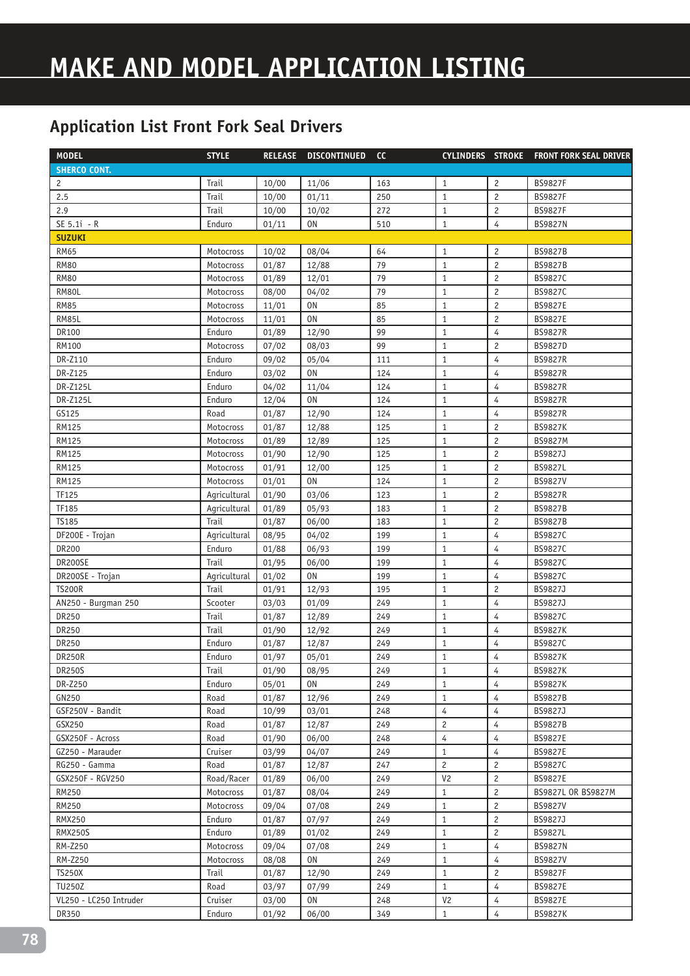| <b>MODEL</b>           | <b>STYLE</b> | <b>RELEASE</b> | <b>DISCONTINUED</b> | cc  |                |                         | CYLINDERS STROKE FRONT FORK SEAL DRIVER |
|------------------------|--------------|----------------|---------------------|-----|----------------|-------------------------|-----------------------------------------|
| <b>SHERCO CONT.</b>    |              |                |                     |     |                |                         |                                         |
| 2                      | Trail        | 10/00          | 11/06               | 163 | $\mathbf{1}$   | $\overline{c}$          | <b>BS9827F</b>                          |
| 2.5                    | Trail        | 10/00          | 01/11               | 250 | $1\,$          | $\sqrt{2}$              | <b>BS9827F</b>                          |
| 2.9                    | Trail        | 10/00          | 10/02               | 272 | $\mathbf{1}$   | $\overline{c}$          | <b>BS9827F</b>                          |
| SE 5.1i - R            | Enduro       | 01/11          | 0N                  | 510 | $\mathbf{1}$   | 4                       | <b>BS9827N</b>                          |
| <b>SUZUKI</b>          |              |                |                     |     |                |                         |                                         |
| <b>RM65</b>            | Motocross    | 10/02          | 08/04               | 64  | $\mathbf{1}$   | $\overline{c}$          | <b>BS9827B</b>                          |
| <b>RM80</b>            | Motocross    | 01/87          | 12/88               | 79  | $\mathbf{1}$   | $\overline{c}$          | <b>BS9827B</b>                          |
| <b>RM80</b>            | Motocross    | 01/89          | 12/01               | 79  | $\mathbf{1}$   | $\overline{c}$          | BS9827C                                 |
| RM80L                  | Motocross    | 08/00          | 04/02               | 79  | $1\,$          | $\overline{c}$          | BS9827C                                 |
| <b>RM85</b>            | Motocross    | 11/01          | 0N                  | 85  | $1\,$          | $\overline{c}$          | BS9827E                                 |
| RM85L                  | Motocross    | 11/01          | 0 <sub>N</sub>      | 85  | $1\,$          | $\overline{c}$          | <b>BS9827E</b>                          |
| DR100                  | Enduro       | 01/89          | 12/90               | 99  | $1\,$          | $\overline{4}$          | <b>BS9827R</b>                          |
| <b>RM100</b>           | Motocross    | 07/02          | 08/03               | 99  | $1\,$          | $\overline{c}$          | <b>BS9827D</b>                          |
| DR-Z110                | Enduro       | 09/02          | 05/04               | 111 | $\mathbf{1}$   | $\overline{4}$          | <b>BS9827R</b>                          |
| DR-Z125                | Enduro       | 03/02          | 0 <sub>N</sub>      | 124 | $1\,$          | $\overline{4}$          | <b>BS9827R</b>                          |
| DR-Z125L               | Enduro       | 04/02          | 11/04               | 124 | $\mathbf{1}$   | 4                       | <b>BS9827R</b>                          |
| DR-Z125L               | Enduro       | 12/04          | <b>ON</b>           | 124 | $1\,$          | 4                       | <b>BS9827R</b>                          |
| GS125                  | Road         | 01/87          | 12/90               | 124 | $1\,$          | 4                       | <b>BS9827R</b>                          |
| RM125                  | Motocross    | 01/87          | 12/88               | 125 | $1\,$          | $\overline{c}$          | <b>BS9827K</b>                          |
| <b>RM125</b>           | Motocross    | 01/89          | 12/89               | 125 | $\mathbf{1}$   | $\overline{c}$          | <b>BS9827M</b>                          |
| <b>RM125</b>           | Motocross    | 01/90          | 12/90               | 125 | $1\,$          | $\overline{\mathbf{c}}$ | BS9827J                                 |
| <b>RM125</b>           | Motocross    | 01/91          | 12/00               | 125 | $1\,$          | $\overline{c}$          | <b>BS9827L</b>                          |
| <b>RM125</b>           | Motocross    | 01/01          | 0 <sub>N</sub>      | 124 | $\mathbf{1}$   | $\overline{c}$          | <b>BS9827V</b>                          |
| TF125                  | Agricultural | 01/90          | 03/06               | 123 | $1\,$          | $\overline{c}$          | <b>BS9827R</b>                          |
| TF185                  | Agricultural | 01/89          | 05/93               | 183 | $\mathbf{1}$   | $\overline{c}$          | <b>BS9827B</b>                          |
| <b>TS185</b>           | Trail        | 01/87          | 06/00               | 183 | $\mathbf{1}$   | $\overline{c}$          | <b>BS9827B</b>                          |
| DF200E - Trojan        | Agricultural | 08/95          | 04/02               | 199 | $1\,$          | 4                       | BS9827C                                 |
| <b>DR200</b>           | Enduro       | 01/88          | 06/93               | 199 | $\mathbf{1}$   | 4                       | BS9827C                                 |
| DR200SE                | Trail        | 01/95          | 06/00               | 199 | $\mathbf{1}$   | 4                       | BS9827C                                 |
| DR200SE - Trojan       | Agricultural | 01/02          | <b>ON</b>           | 199 | $\mathbf{1}$   | 4                       | BS9827C                                 |
| <b>TS200R</b>          | Trail        | 01/91          | 12/93               | 195 | $1\,$          | $\overline{c}$          | BS9827J                                 |
| AN250 - Burgman 250    | Scooter      | 03/03          | 01/09               | 249 | $\mathbf{1}$   | 4                       | BS9827J                                 |
| DR250                  | Trail        | 01/87          | 12/89               | 249 | $\mathbf{1}$   | 4                       | BS9827C                                 |
| DR250                  | Trail        | 01/90          | 12/92               | 249 | $\mathbf{1}$   | 4                       | <b>BS9827K</b>                          |
| DR250                  | Enduro       | 01/87          | 12/87               | 249 | $\mathbf{1}$   | 4                       | BS9827C                                 |
| <b>DR250R</b>          | Enduro       | 01/97          | 05/01               | 249 | $1\,$          | $\overline{4}$          | <b>BS9827K</b>                          |
| <b>DR250S</b>          | Trail        | 01/90          | 08/95               | 249 | $\mathbf{1}$   | 4                       | <b>BS9827K</b>                          |
| DR-Z250                | Enduro       | 05/01          | 0N                  | 249 | $\mathbf{1}$   | 4                       | <b>BS9827K</b>                          |
| GN250                  | Road         | 01/87          | 12/96               | 249 | $\mathbf{1}$   | 4                       | <b>BS9827B</b>                          |
| GSF250V - Bandit       | Road         | 10/99          | 03/01               | 248 | 4              | 4                       | BS9827J                                 |
| GSX250                 | Road         | 01/87          | 12/87               | 249 | $\overline{c}$ | 4                       | <b>BS9827B</b>                          |
| GSX250F - Across       | Road         | 01/90          | 06/00               | 248 | 4              | 4                       | <b>BS9827E</b>                          |
| GZ250 - Marauder       | Cruiser      | 03/99          | 04/07               | 249 | $\mathbf{1}$   | 4                       | <b>BS9827E</b>                          |
| RG250 - Gamma          | Road         | 01/87          | 12/87               | 247 | $\overline{c}$ | 2                       | BS9827C                                 |
| GSX250F - RGV250       | Road/Racer   | 01/89          | 06/00               | 249 | V <sub>2</sub> | $\overline{c}$          | <b>BS9827E</b>                          |
| RM250                  | Motocross    | 01/87          | 08/04               | 249 | $\mathbf{1}$   | 2                       | BS9827L OR BS9827M                      |
| RM250                  | Motocross    | 09/04          | 07/08               | 249 | $\mathbf{1}$   | $\overline{c}$          | BS9827V                                 |
| <b>RMX250</b>          | Enduro       | 01/87          | 07/97               | 249 | $\mathbf{1}$   | $\overline{c}$          | BS9827J                                 |
| <b>RMX250S</b>         | Enduro       | 01/89          | 01/02               | 249 | $\mathbf{1}$   | $\overline{c}$          | <b>BS9827L</b>                          |
| RM-Z250                | Motocross    | 09/04          | 07/08               | 249 | $\mathbf{1}$   | $\overline{4}$          | <b>BS9827N</b>                          |
| RM-Z250                | Motocross    | 08/08          | 0N                  | 249 | 1              | 4                       | BS9827V                                 |
| <b>TS250X</b>          | Trail        | 01/87          | 12/90               | 249 | $\mathbf{1}$   | $\overline{c}$          | <b>BS9827F</b>                          |
| <b>TU250Z</b>          | Road         | 03/97          | 07/99               | 249 | $\mathbf{1}$   | 4                       | <b>BS9827E</b>                          |
| VL250 - LC250 Intruder | Cruiser      | 03/00          | 0 <sub>N</sub>      | 248 | V <sub>2</sub> | 4                       | <b>BS9827E</b>                          |
| DR350                  | Enduro       | 01/92          | 06/00               | 349 | $\mathbf{1}$   | 4                       | <b>BS9827K</b>                          |
|                        |              |                |                     |     |                |                         |                                         |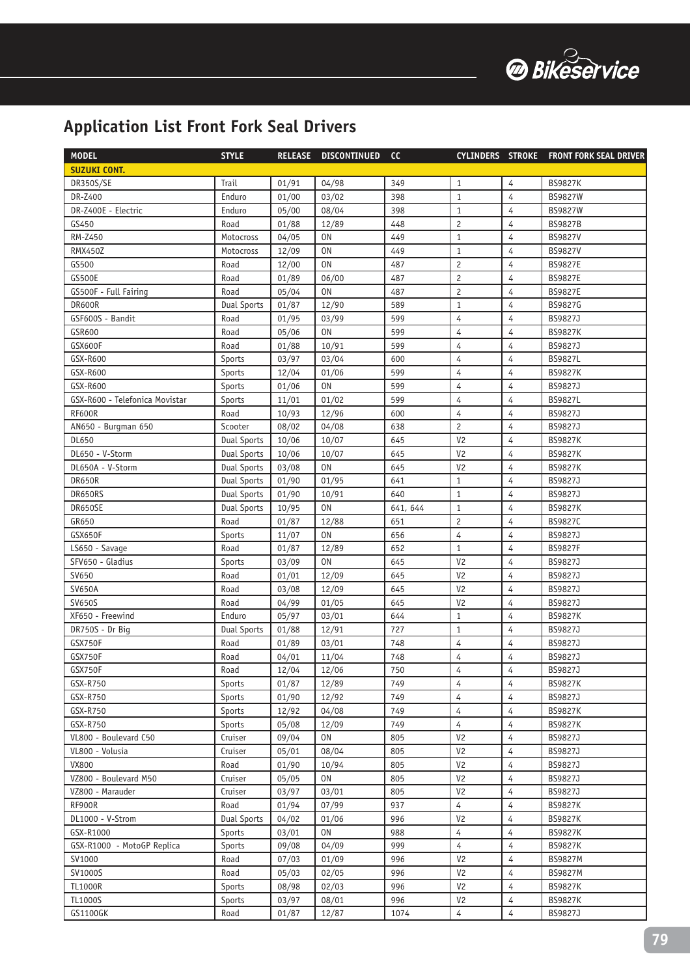

| <b>MODEL</b>                   | <b>STYLE</b>       | <b>RELEASE</b> | <b>DISCONTINUED</b> | cc       | <b>CYLINDERS STROKE</b> |                | <b>FRONT FORK SEAL DRIVER</b> |
|--------------------------------|--------------------|----------------|---------------------|----------|-------------------------|----------------|-------------------------------|
| <b>SUZUKI CONT.</b>            |                    |                |                     |          |                         |                |                               |
| <b>DR350S/SE</b>               | Trail              | 01/91          | 04/98               | 349      | $\mathbf{1}$            | $\overline{4}$ | <b>BS9827K</b>                |
| DR-Z400                        | Enduro             | 01/00          | 03/02               | 398      | $\mathbf{1}$            | $\overline{4}$ | <b>BS9827W</b>                |
| DR-Z400E - Electric            | Enduro             | 05/00          | 08/04               | 398      | $\mathbf{1}$            | 4              | <b>BS9827W</b>                |
| GS450                          | Road               | 01/88          | 12/89               | 448      | $\overline{c}$          | 4              | <b>BS9827B</b>                |
| RM-Z450                        | Motocross          | 04/05          | <b>ON</b>           | 449      | $\mathbf{1}$            | $\overline{4}$ | <b>BS9827V</b>                |
| <b>RMX450Z</b>                 | Motocross          | 12/09          | <b>ON</b>           | 449      | $\mathbf{1}$            | 4              | <b>BS9827V</b>                |
| GS500                          | Road               | 12/00          | 0 <sub>N</sub>      | 487      | $\overline{c}$          | 4              | <b>BS9827E</b>                |
| <b>GS500E</b>                  | Road               | 01/89          | 06/00               | 487      | $\overline{c}$          | $\overline{4}$ | <b>BS9827E</b>                |
| GS500F - Full Fairing          | Road               | 05/04          | 0 <sub>N</sub>      | 487      | $\overline{c}$          | $\overline{4}$ | <b>BS9827E</b>                |
| DR600R                         | Dual Sports        | 01/87          | 12/90               | 589      | $\mathbf{1}$            | $\overline{4}$ | BS9827G                       |
| GSF600S - Bandit               | Road               | 01/95          | 03/99               | 599      | $\overline{4}$          | 4              | BS9827J                       |
| GSR600                         | Road               | 05/06          | <b>ON</b>           | 599      | $\overline{4}$          | $\overline{4}$ | <b>BS9827K</b>                |
| GSX600F                        | Road               | 01/88          | 10/91               | 599      | $\overline{4}$          | 4              | BS9827J                       |
| GSX-R600                       | Sports             | 03/97          | 03/04               | 600      | 4                       | 4              | <b>BS9827L</b>                |
| GSX-R600                       | Sports             | 12/04          | 01/06               | 599      | 4                       | 4              | <b>BS9827K</b>                |
| GSX-R600                       | Sports             | 01/06          | 0 <sub>N</sub>      | 599      | 4                       | 4              | BS9827J                       |
| GSX-R600 - Telefonica Movistar | Sports             | 11/01          | 01/02               | 599      | 4                       | 4              | <b>BS9827L</b>                |
| <b>RF600R</b>                  | Road               | 10/93          | 12/96               | 600      | 4                       | 4              | BS9827J                       |
| AN650 - Burgman 650            | Scooter            | 08/02          | 04/08               | 638      | $\overline{c}$          | $\overline{4}$ | BS9827J                       |
| DL650                          | Dual Sports        | 10/06          | 10/07               | 645      | V <sub>2</sub>          | 4              | <b>BS9827K</b>                |
| DL650 - V-Storm                | <b>Dual Sports</b> | 10/06          | 10/07               | 645      | V <sub>2</sub>          | 4              | <b>BS9827K</b>                |
| DL650A - V-Storm               | <b>Dual Sports</b> | 03/08          | 0 <sub>N</sub>      | 645      | V <sub>2</sub>          | 4              | <b>BS9827K</b>                |
| DR650R                         | <b>Dual Sports</b> | 01/90          | 01/95               | 641      | $\mathbf{1}$            | $\overline{4}$ | BS9827J                       |
| DR650RS                        | <b>Dual Sports</b> | 01/90          | 10/91               | 640      | $\mathbf{1}$            | 4              | BS9827J                       |
| DR650SE                        | <b>Dual Sports</b> | 10/95          | <b>ON</b>           | 641, 644 | $\mathbf{1}$            | 4              | <b>BS9827K</b>                |
| GR650                          | Road               | 01/87          | 12/88               | 651      | $\overline{c}$          | $\overline{4}$ | <b>BS9827C</b>                |
| GSX650F                        | Sports             | 11/07          | 0 <sub>N</sub>      | 656      | 4                       | $\overline{4}$ | BS9827J                       |
| LS650 - Savage                 | Road               | 01/87          | 12/89               | 652      | $\mathbf{1}$            | $\overline{4}$ | <b>BS9827F</b>                |
| SFV650 - Gladius               | Sports             | 03/09          | 0 <sub>N</sub>      | 645      | V <sub>2</sub>          | 4              | BS9827J                       |
| SV650                          | Road               | 01/01          | 12/09               | 645      | V <sub>2</sub>          | 4              | BS9827J                       |
| <b>SV650A</b>                  | Road               | 03/08          | 12/09               | 645      | V <sub>2</sub>          | 4              | BS9827J                       |
| <b>SV650S</b>                  | Road               | 04/99          | 01/05               | 645      | V <sub>2</sub>          | $\overline{4}$ | BS9827J                       |
| XF650 - Freewind               | Enduro             | 05/97          | 03/01               | 644      | $\mathbf{1}$            | 4              | <b>BS9827K</b>                |
| DR750S - Dr Big                | <b>Dual Sports</b> | 01/88          | 12/91               | 727      | $\mathbf{1}$            | 4              | BS9827J                       |
| GSX750F                        | Road               | 01/89          | 03/01               | 748      | 4                       | 4              | BS9827J                       |
| GSX750F                        | Road               | 04/01          | 11/04               | 748      | $\overline{4}$          | 4              | BS9827J                       |
| GSX750F                        | Road               | 12/04          | 12/06               | 750      | 4                       | 4              | BS9827J                       |
| GSX-R750                       | Sports             | 01/87          | 12/89               | 749      | 4                       | 4              | <b>BS9827K</b>                |
| GSX-R750                       | Sports             | 01/90          | 12/92               | 749      | 4                       | 4              | BS9827J                       |
| GSX-R750                       | Sports             | 12/92          | 04/08               | 749      | 4                       | 4              | <b>BS9827K</b>                |
| GSX-R750                       | Sports             | 05/08          | 12/09               | 749      | $\overline{4}$          | 4              | <b>BS9827K</b>                |
| VL800 - Boulevard C50          | Cruiser            | 09/04          | 0N                  | 805      | V <sub>2</sub>          | 4              | BS9827J                       |
| VL800 - Volusia                | Cruiser            | 05/01          | 08/04               | 805      | V <sub>2</sub>          | 4              | BS9827J                       |
| <b>VX800</b>                   | Road               | 01/90          | 10/94               | 805      | V <sub>2</sub>          | 4              | BS9827J                       |
| VZ800 - Boulevard M50          | Cruiser            | 05/05          | 0N                  | 805      | V <sub>2</sub>          | $\overline{4}$ | BS9827J                       |
| VZ800 - Marauder               | Cruiser            | 03/97          | 03/01               | 805      | V <sub>2</sub>          | $\overline{4}$ | BS9827J                       |
| RF900R                         | Road               | 01/94          | 07/99               | 937      | 4                       | 4              | <b>BS9827K</b>                |
| DL1000 - V-Strom               | <b>Dual Sports</b> | 04/02          | 01/06               | 996      | V <sub>2</sub>          | 4              | <b>BS9827K</b>                |
| GSX-R1000                      | Sports             | 03/01          | 0N                  | 988      | 4                       | 4              | <b>BS9827K</b>                |
| GSX-R1000 - MotoGP Replica     | Sports             | 09/08          | 04/09               | 999      | 4                       | 4              | <b>BS9827K</b>                |
| SV1000                         | Road               | 07/03          | 01/09               | 996      | V <sub>2</sub>          | 4              | <b>BS9827M</b>                |
| SV1000S                        | Road               | 05/03          | 02/05               | 996      | V <sub>2</sub>          | 4              | <b>BS9827M</b>                |
| <b>TL1000R</b>                 | Sports             | 08/98          | 02/03               | 996      | V <sub>2</sub>          | 4              | <b>BS9827K</b>                |
| TL1000S                        | Sports             | 03/97          | 08/01               | 996      | V <sub>2</sub>          | 4              | <b>BS9827K</b>                |
| GS1100GK                       | Road               | 01/87          | 12/87               | 1074     | 4                       | 4              | BS9827J                       |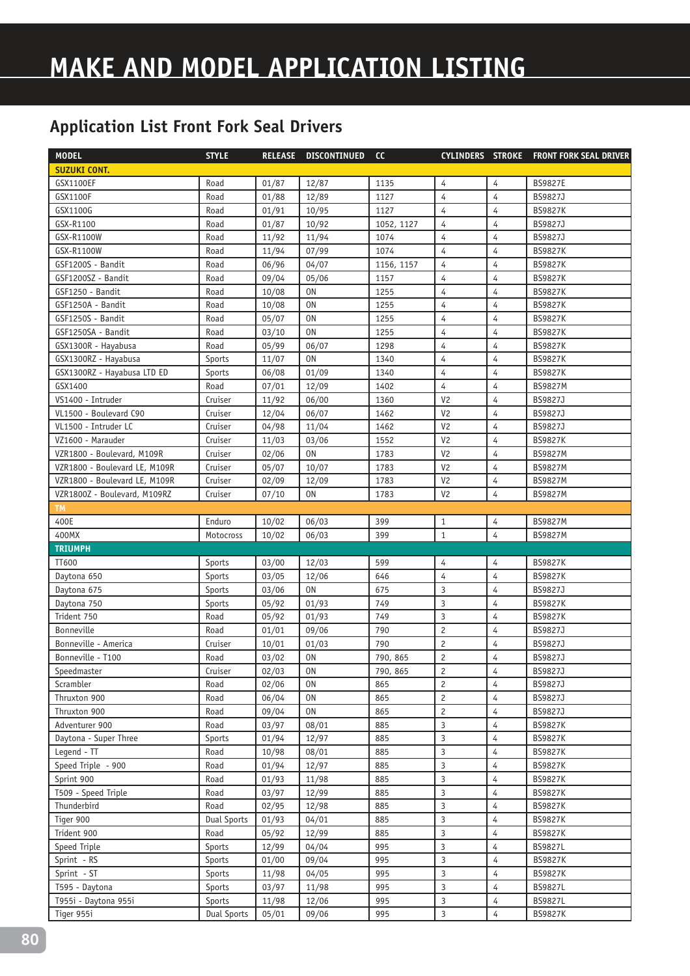| <b>MODEL</b>                  | <b>STYLE</b>       | <b>RELEASE</b> | <b>DISCONTINUED</b> | cc         |                |                | CYLINDERS STROKE FRONT FORK SEAL DRIVER |
|-------------------------------|--------------------|----------------|---------------------|------------|----------------|----------------|-----------------------------------------|
| <b>SUZUKI CONT.</b>           |                    |                |                     |            |                |                |                                         |
| GSX1100EF                     | Road               | 01/87          | 12/87               | 1135       | 4              | 4              | <b>BS9827E</b>                          |
| GSX1100F                      | Road               | 01/88          | 12/89               | 1127       | $\overline{4}$ | $\overline{4}$ | BS9827J                                 |
| GSX1100G                      | Road               | 01/91          | 10/95               | 1127       | 4              | 4              | <b>BS9827K</b>                          |
| GSX-R1100                     | Road               | 01/87          | 10/92               | 1052, 1127 | 4              | 4              | BS9827J                                 |
| GSX-R1100W                    | Road               | 11/92          | 11/94               | 1074       | 4              | $\overline{4}$ | BS9827J                                 |
| GSX-R1100W                    | Road               | 11/94          | 07/99               | 1074       | 4              | 4              | <b>BS9827K</b>                          |
| GSF1200S - Bandit             | Road               | 06/96          | 04/07               | 1156, 1157 | 4              | 4              | <b>BS9827K</b>                          |
| GSF1200SZ - Bandit            | Road               | 09/04          | 05/06               | 1157       | $\overline{4}$ | $\overline{4}$ | <b>BS9827K</b>                          |
| GSF1250 - Bandit              | Road               | 10/08          | <b>ON</b>           | 1255       | 4              | $\overline{4}$ | <b>BS9827K</b>                          |
| GSF1250A - Bandit             | Road               | 10/08          | 0 <sub>N</sub>      | 1255       | 4              | 4              | <b>BS9827K</b>                          |
| GSF1250S - Bandit             | Road               | 05/07          | 0 <sub>N</sub>      | 1255       | $\overline{4}$ | $\overline{4}$ | <b>BS9827K</b>                          |
| GSF1250SA - Bandit            | Road               | 03/10          | 0 <sub>N</sub>      | 1255       | $\overline{4}$ | $\overline{4}$ | <b>BS9827K</b>                          |
| GSX1300R - Hayabusa           | Road               | 05/99          | 06/07               | 1298       | 4              | $\overline{4}$ | <b>BS9827K</b>                          |
| GSX1300RZ - Hayabusa          | Sports             | 11/07          | 0 <sub>N</sub>      | 1340       | 4              | $\overline{4}$ | <b>BS9827K</b>                          |
| GSX1300RZ - Hayabusa LTD ED   | Sports             | 06/08          | 01/09               | 1340       | $\overline{4}$ | $\overline{4}$ | <b>BS9827K</b>                          |
| GSX1400                       | Road               | 07/01          | 12/09               | 1402       | $\overline{4}$ | $\overline{4}$ | <b>BS9827M</b>                          |
| VS1400 - Intruder             | Cruiser            | 11/92          | 06/00               | 1360       | V <sub>2</sub> | $\overline{4}$ | BS9827J                                 |
| VL1500 - Boulevard C90        | Cruiser            | 12/04          | 06/07               | 1462       | V <sub>2</sub> | 4              | BS9827J                                 |
| VL1500 - Intruder LC          | Cruiser            | 04/98          | 11/04               | 1462       | V <sub>2</sub> | 4              | BS9827J                                 |
| VZ1600 - Marauder             | Cruiser            | 11/03          | 03/06               | 1552       | V <sub>2</sub> | 4              | <b>BS9827K</b>                          |
| VZR1800 - Boulevard, M109R    | Cruiser            | 02/06          | 0 <sub>N</sub>      | 1783       | V <sub>2</sub> | 4              | <b>BS9827M</b>                          |
| VZR1800 - Boulevard LE, M109R | Cruiser            | 05/07          | 10/07               | 1783       | V <sub>2</sub> | 4              | <b>BS9827M</b>                          |
| VZR1800 - Boulevard LE, M109R | Cruiser            | 02/09          | 12/09               | 1783       | V <sub>2</sub> | 4              | <b>BS9827M</b>                          |
| VZR1800Z - Boulevard, M109RZ  | Cruiser            | 07/10          | 0 <sub>N</sub>      | 1783       | V <sub>2</sub> | 4              | <b>BS9827M</b>                          |
| <b>TM</b>                     |                    |                |                     |            |                |                |                                         |
| 400E                          | Enduro             | 10/02          | 06/03               | 399        | $\mathbf{1}$   | 4              | <b>BS9827M</b>                          |
| 400MX                         | Motocross          | 10/02          | 06/03               | 399        | $1\,$          | $\overline{4}$ | <b>BS9827M</b>                          |
| <b>TRIUMPH</b>                |                    |                |                     |            |                |                |                                         |
| TT600                         | Sports             | 03/00          | 12/03               | 599        | 4              | 4              | <b>BS9827K</b>                          |
| Daytona 650                   | Sports             | 03/05          | 12/06               | 646        | $\overline{4}$ | 4              | <b>BS9827K</b>                          |
| Daytona 675                   | Sports             | 03/06          | 0 <sub>N</sub>      | 675        | $\overline{3}$ | 4              | BS9827J                                 |
| Daytona 750                   | Sports             | 05/92          | 01/93               | 749        | 3              | $\overline{4}$ | <b>BS9827K</b>                          |
| Trident 750                   | Road               | 05/92          | 01/93               | 749        | 3              | $\overline{4}$ | <b>BS9827K</b>                          |
| Bonneville                    | Road               | 01/01          | 09/06               | 790        | $\overline{c}$ | 4              | BS9827J                                 |
| Bonneville - America          | Cruiser            | 10/01          | 01/03               | 790        | $\overline{c}$ | 4              | BS9827J                                 |
| Bonneville - T100             | Road               | 03/02          | 0 <sub>N</sub>      | 790, 865   | $\overline{c}$ | 4              | BS9827J                                 |
| Speedmaster                   | Cruiser            | 02/03          | 0N                  | 790, 865   | $\overline{c}$ | 4              | BS9827J                                 |
| Scrambler                     | Road               | 02/06          | 0N                  | 865        | $\overline{c}$ | 4              | BS9827J                                 |
| Thruxton 900                  | Road               | 06/04          | 0N                  | 865        | $\overline{c}$ | 4              | BS9827J                                 |
| Thruxton 900                  | Road               | 09/04          | 0N                  | 865        | $\overline{c}$ | 4              | BS9827J                                 |
| Adventurer 900                | Road               | 03/97          | 08/01               | 885        | 3              | 4              | <b>BS9827K</b>                          |
| Daytona - Super Three         | Sports             | 01/94          | 12/97               | 885        | 3              | 4              | <b>BS9827K</b>                          |
| Legend - TT                   | Road               | 10/98          | 08/01               | 885        | 3              | 4              | <b>BS9827K</b>                          |
| Speed Triple - 900            | Road               | 01/94          | 12/97               | 885        | 3              | 4              | <b>BS9827K</b>                          |
| Sprint 900                    | Road               | 01/93          | 11/98               | 885        | 3              | 4              | <b>BS9827K</b>                          |
| T509 - Speed Triple           | Road               | 03/97          | 12/99               | 885        | 3              | 4              | <b>BS9827K</b>                          |
| Thunderbird                   | Road               | 02/95          | 12/98               | 885        | 3              | 4              | <b>BS9827K</b>                          |
| Tiger 900                     | <b>Dual Sports</b> | 01/93          | 04/01               | 885        | 3              | 4              | <b>BS9827K</b>                          |
| Trident 900                   | Road               | 05/92          | 12/99               | 885        | $\mathsf 3$    | 4              | <b>BS9827K</b>                          |
| Speed Triple                  | Sports             | 12/99          | 04/04               | 995        | $\mathsf 3$    | 4              | <b>BS9827L</b>                          |
| Sprint - RS                   | Sports             | 01/00          | 09/04               | 995        | $\overline{3}$ | $\overline{4}$ | <b>BS9827K</b>                          |
| Sprint - ST                   | Sports             | 11/98          | 04/05               | 995        | $\overline{3}$ | $\overline{4}$ | <b>BS9827K</b>                          |
| T595 - Daytona                | Sports             | 03/97          | 11/98               | 995        | 3              | 4              | BS9827L                                 |
| T955i - Daytona 955i          | Sports             | 11/98          | 12/06               | 995        | 3              | 4              | BS9827L                                 |
| Tiger 955i                    | <b>Dual Sports</b> | 05/01          | 09/06               | 995        | $\overline{3}$ | 4              | <b>BS9827K</b>                          |
|                               |                    |                |                     |            |                |                |                                         |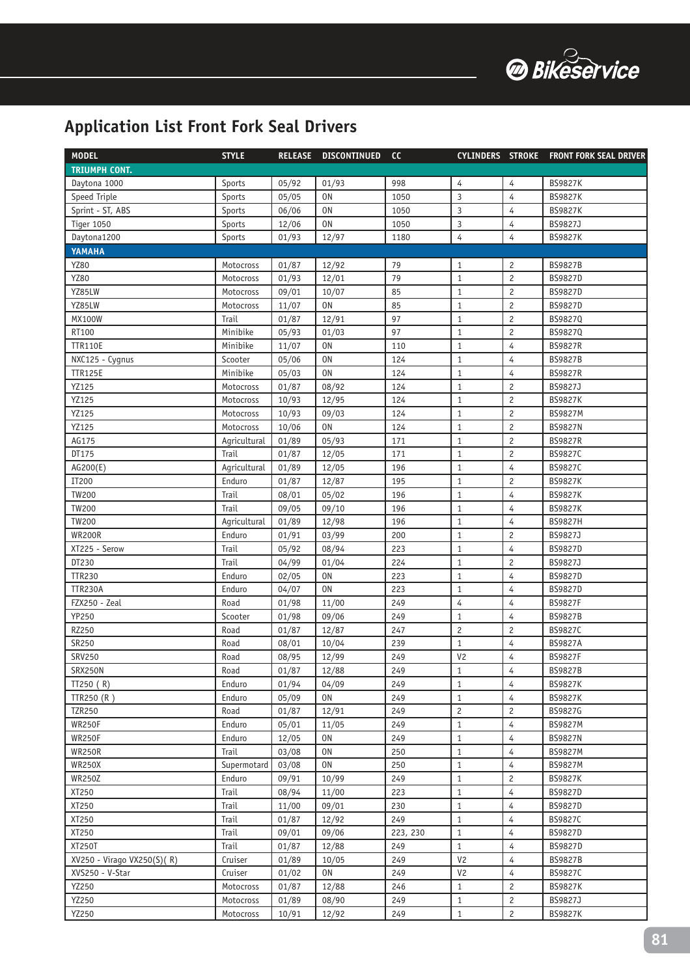

| <b>MODEL</b>               | <b>STYLE</b> | <b>RELEASE</b> | <b>DISCONTINUED</b> | cc       | <b>CYLINDERS STROKE</b> |                | <b>FRONT FORK SEAL DRIVER</b> |
|----------------------------|--------------|----------------|---------------------|----------|-------------------------|----------------|-------------------------------|
| <b>TRIUMPH CONT.</b>       |              |                |                     |          |                         |                |                               |
| Daytona 1000               | Sports       | 05/92          | 01/93               | 998      | 4                       | $\overline{4}$ | <b>BS9827K</b>                |
| Speed Triple               | Sports       | 05/05          | 0 <sub>N</sub>      | 1050     | 3                       | $\overline{4}$ | <b>BS9827K</b>                |
| Sprint - ST, ABS           | Sports       | 06/06          | 0 <sub>N</sub>      | 1050     | 3                       | 4              | <b>BS9827K</b>                |
| <b>Tiger 1050</b>          | Sports       | 12/06          | 0 <sub>N</sub>      | 1050     | 3                       | 4              | BS9827J                       |
| Daytona1200                | Sports       | 01/93          | 12/97               | 1180     | $\overline{4}$          | 4              | <b>BS9827K</b>                |
| YAMAHA                     |              |                |                     |          |                         |                |                               |
| YZ80                       | Motocross    | 01/87          | 12/92               | 79       | $\mathbf{1}$            | $\overline{c}$ | <b>BS9827B</b>                |
| YZ80                       | Motocross    | 01/93          | 12/01               | 79       | $\mathbf{1}$            | $\overline{c}$ | <b>BS9827D</b>                |
| YZ85LW                     | Motocross    | 09/01          | 10/07               | 85       | $1\,$                   | $\overline{c}$ | BS9827D                       |
| YZ85LW                     | Motocross    | 11/07          | <b>ON</b>           | 85       | $\mathbf{1}$            | $\overline{c}$ | BS9827D                       |
| <b>MX100W</b>              | Trail        | 01/87          | 12/91               | 97       | $\mathbf{1}$            | 2              | BS9827Q                       |
| RT100                      | Minibike     | 05/93          | 01/03               | 97       | $\mathbf{1}$            | $\overline{c}$ | BS9827Q                       |
| <b>TTR110E</b>             | Minibike     | 11/07          | 0 <sub>N</sub>      | 110      | $\mathbf{1}$            | 4              | <b>BS9827R</b>                |
| NXC125 - Cygnus            | Scooter      | 05/06          | 0 <sub>N</sub>      | 124      | $\mathbf{1}$            | $\overline{4}$ | <b>BS9827B</b>                |
| <b>TTR125E</b>             | Minibike     | 05/03          | 0 <sub>N</sub>      | 124      | $\mathbf{1}$            | 4              | <b>BS9827R</b>                |
| <b>YZ125</b>               | Motocross    | 01/87          | 08/92               | 124      | $\mathbf{1}$            | $\overline{c}$ | BS9827J                       |
| <b>YZ125</b>               | Motocross    | 10/93          | 12/95               | 124      | $\mathbf{1}$            | $\overline{c}$ | <b>BS9827K</b>                |
| YZ125                      | Motocross    | 10/93          | 09/03               | 124      | $1\,$                   | $\overline{c}$ | <b>BS9827M</b>                |
| <b>YZ125</b>               | Motocross    | 10/06          | 0 <sub>N</sub>      | 124      | $\mathbf{1}$            | $\overline{c}$ | <b>BS9827N</b>                |
| AG175                      | Agricultural | 01/89          | 05/93               | 171      | $1\,$                   | $\overline{c}$ | <b>BS9827R</b>                |
| DT175                      | Trail        | 01/87          | 12/05               | 171      | $\mathbf{1}$            | $\overline{c}$ | BS9827C                       |
| AG200(E)                   | Agricultural | 01/89          | 12/05               | 196      | $\mathbf{1}$            | $\overline{4}$ | BS9827C                       |
| IT200                      | Enduro       | 01/87          | 12/87               | 195      | $\mathbf{1}$            | $\overline{c}$ | <b>BS9827K</b>                |
| TW200                      | Trail        | 08/01          | 05/02               | 196      | $1\,$                   | $\overline{4}$ | <b>BS9827K</b>                |
| TW200                      | Trail        | 09/05          | 09/10               | 196      | $\mathbf{1}$            | 4              | <b>BS9827K</b>                |
| TW200                      | Agricultural | 01/89          | 12/98               | 196      | $1\,$                   | 4              | BS9827H                       |
| <b>WR200R</b>              | Enduro       | 01/91          | 03/99               | 200      | $1\,$                   | $\overline{c}$ | BS9827J                       |
| XT225 - Serow              | Trail        | 05/92          | 08/94               | 223      | $1\,$                   | $\overline{4}$ | BS9827D                       |
| DT230                      | Trail        | 04/99          | 01/04               | 224      | $1\,$                   | $\overline{c}$ | BS9827J                       |
| <b>TTR230</b>              | Enduro       | 02/05          | 0 <sub>N</sub>      | 223      | $1\,$                   | $\overline{4}$ | BS9827D                       |
| <b>TTR230A</b>             | Enduro       | 04/07          | <b>ON</b>           | 223      | $1\,$                   | 4              | BS9827D                       |
| FZX250 - Zeal              | Road         | 01/98          | 11/00               | 249      | $\overline{4}$          | $\overline{4}$ | <b>BS9827F</b>                |
| YP250                      | Scooter      | 01/98          | 09/06               | 249      | $\mathbf{1}$            | $\overline{4}$ | <b>BS9827B</b>                |
| RZ250                      | Road         | 01/87          | 12/87               | 247      | $\overline{c}$          | $\overline{c}$ | BS9827C                       |
| SR250                      | Road         | 08/01          | 10/04               | 239      | $\mathbf{1}$            | 4              | <b>BS9827A</b>                |
| <b>SRV250</b>              | Road         | 08/95          | 12/99               | 249      | V <sub>2</sub>          | 4              | <b>BS9827F</b>                |
| SRX250N                    | Road         | 01/87          | 12/88               | 249      | 1                       | 4              | BS9827B                       |
| TT250 (R)                  | Enduro       | 01/94          | 04/09               | 249      | $\mathbf{1}$            | $\overline{4}$ | <b>BS9827K</b>                |
| TTR250 (R)                 | Enduro       | 05/09          | 0 <sub>N</sub>      | 249      | $\mathbf{1}$            | 4              | <b>BS9827K</b>                |
| <b>TZR250</b>              | Road         | 01/87          | 12/91               | 249      | $\overline{c}$          | $\overline{c}$ | BS9827G                       |
| <b>WR250F</b>              | Enduro       | 05/01          | 11/05               | 249      | $\mathbf{1}$            | $\overline{4}$ | <b>BS9827M</b>                |
| <b>WR250F</b>              | Enduro       | 12/05          | 0N                  | 249      | $\mathbf{1}$            | $\overline{4}$ | <b>BS9827N</b>                |
| <b>WR250R</b>              | Trail        | 03/08          | 0N                  | 250      | $\mathbf{1}$            | 4              | <b>BS9827M</b>                |
| <b>WR250X</b>              | Supermotard  | 03/08          | 0N                  | 250      | $\mathbf{1}$            | 4              | <b>BS9827M</b>                |
| <b>WR250Z</b>              | Enduro       | 09/91          | 10/99               | 249      | $\mathbf{1}$            | $\overline{c}$ | <b>BS9827K</b>                |
| XT250                      | Trail        | 08/94          | 11/00               | 223      | $\mathbf{1}$            | $\overline{4}$ | BS9827D                       |
| XT250                      | Trail        | 11/00          | 09/01               | 230      | $\mathbf{1}$            | $\overline{4}$ | BS9827D                       |
| XT250                      | Trail        | 01/87          | 12/92               | 249      | $\mathbf{1}$            | 4              | BS9827C                       |
| XT250                      | Trail        | 09/01          | 09/06               | 223, 230 | $\mathbf{1}$            | 4              | BS9827D                       |
| <b>XT250T</b>              | Trail        | 01/87          | 12/88               | 249      | $\mathbf{1}$            | 4              | BS9827D                       |
| XV250 - Virago VX250(S)(R) | Cruiser      | 01/89          | 10/05               | 249      | V <sub>2</sub>          | 4              | <b>BS9827B</b>                |
| XVS250 - V-Star            | Cruiser      | 01/02          | 0N                  | 249      | V <sub>2</sub>          | 4              | BS9827C                       |
| YZ250                      | Motocross    | 01/87          | 12/88               | 246      | $\mathbf{1}$            | $\overline{c}$ | <b>BS9827K</b>                |
| YZ250                      | Motocross    | 01/89          | 08/90               | 249      | $\mathbf{1}$            | $\overline{c}$ | BS9827J                       |
| YZ250                      | Motocross    | 10/91          | 12/92               | 249      | $\mathbf{1}$            | $\overline{c}$ | <b>BS9827K</b>                |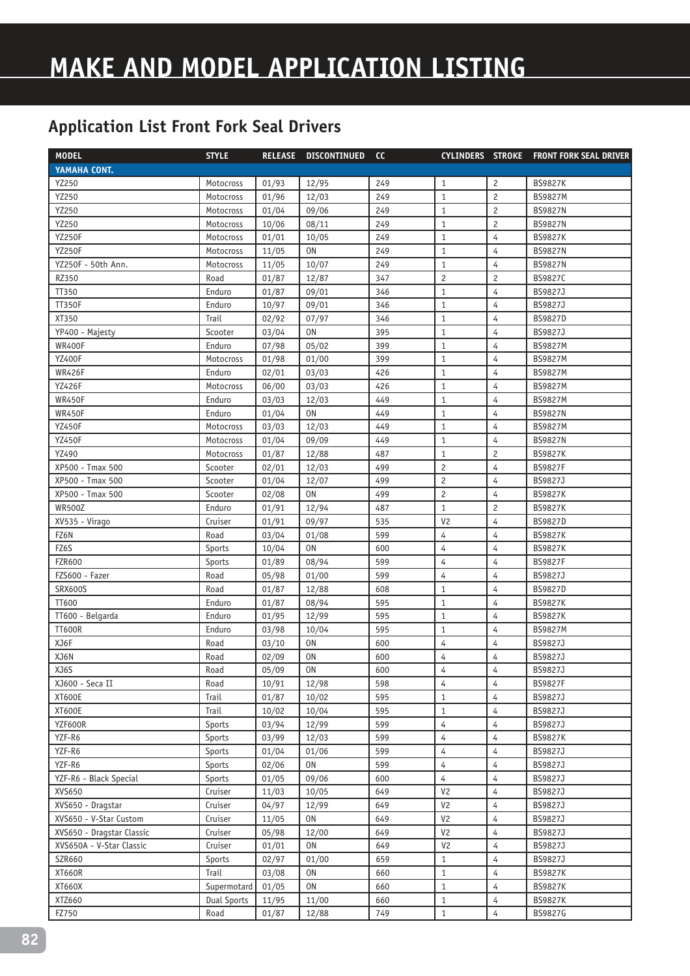## **MAKE AND MODEL APPLICATION LISTING**

| <b>MODEL</b>              | <b>STYLE</b>       | <b>RELEASE</b> | <b>DISCONTINUED</b> | <b>CC</b> |                |                | <b>CYLINDERS STROKE FRONT FORK SEAL DRIVER</b> |
|---------------------------|--------------------|----------------|---------------------|-----------|----------------|----------------|------------------------------------------------|
| YAMAHA CONT.              |                    |                |                     |           |                |                |                                                |
| YZ250                     | Motocross          | 01/93          | 12/95               | 249       | $\mathbf{1}$   | $\overline{c}$ | <b>BS9827K</b>                                 |
| YZ250                     | Motocross          | 01/96          | 12/03               | 249       | $\mathbf{1}$   | $\overline{c}$ | <b>BS9827M</b>                                 |
| YZ250                     | Motocross          | 01/04          | 09/06               | 249       | $\mathbf{1}$   | $\overline{c}$ | <b>BS9827N</b>                                 |
| YZ250                     | Motocross          | 10/06          | 08/11               | 249       | $\mathbf{1}$   | $\overline{c}$ | <b>BS9827N</b>                                 |
| <b>YZ250F</b>             | Motocross          | 01/01          | 10/05               | 249       | $\mathbf{1}$   | 4              | <b>BS9827K</b>                                 |
| <b>YZ250F</b>             | Motocross          | 11/05          | <b>ON</b>           | 249       | $\mathbf{1}$   | $\overline{4}$ | <b>BS9827N</b>                                 |
| YZ250F - 50th Ann.        | Motocross          | 11/05          | 10/07               | 249       | $\mathbf{1}$   | 4              | <b>BS9827N</b>                                 |
| RZ350                     | Road               | 01/87          | 12/87               | 347       | $\overline{c}$ | $\overline{c}$ | BS9827C                                        |
| TT350                     | Enduro             | 01/87          | 09/01               | 346       | $\mathbf{1}$   | $\overline{4}$ | <b>BS9827J</b>                                 |
| <b>TT350F</b>             | Enduro             | 10/97          | 09/01               | 346       | $\mathbf{1}$   | $\overline{4}$ | BS9827J                                        |
| XT350                     | Trail              | 02/92          | 07/97               | 346       | $\mathbf{1}$   | $\overline{4}$ | BS9827D                                        |
| YP400 - Majesty           | Scooter            | 03/04          | 0 <sub>N</sub>      | 395       | $\mathbf{1}$   | $\overline{4}$ | BS9827J                                        |
| <b>WR400F</b>             | Enduro             | 07/98          | 05/02               | 399       | $\mathbf{1}$   | $\overline{4}$ | <b>BS9827M</b>                                 |
| <b>YZ400F</b>             | Motocross          | 01/98          | 01/00               | 399       | $\mathbf{1}$   | $\overline{4}$ | <b>BS9827M</b>                                 |
| <b>WR426F</b>             | Enduro             | 02/01          | 03/03               | 426       | $\mathbf{1}$   | $\overline{4}$ | <b>BS9827M</b>                                 |
| <b>YZ426F</b>             | Motocross          | 06/00          | 03/03               | 426       | $\mathbf{1}$   | 4              | BS9827M                                        |
| <b>WR450F</b>             | Enduro             | 03/03          | 12/03               | 449       | $\mathbf{1}$   | 4              | <b>BS9827M</b>                                 |
| <b>WR450F</b>             | Enduro             | 01/04          | 0 <sub>N</sub>      | 449       | $\mathbf{1}$   | 4              | <b>BS9827N</b>                                 |
| <b>YZ450F</b>             | Motocross          | 03/03          | 12/03               | 449       | $\mathbf{1}$   | 4              | <b>BS9827M</b>                                 |
| <b>YZ450F</b>             | Motocross          | 01/04          | 09/09               | 449       | $\mathbf{1}$   | 4              | <b>BS9827N</b>                                 |
| YZ490                     | Motocross          | 01/87          | 12/88               | 487       | $\mathbf{1}$   | $\overline{c}$ | <b>BS9827K</b>                                 |
| XP500 - Tmax 500          | Scooter            | 02/01          | 12/03               | 499       | $\overline{c}$ | 4              | <b>BS9827F</b>                                 |
| XP500 - Tmax 500          | Scooter            | 01/04          | 12/07               | 499       | $\overline{c}$ | $\overline{4}$ | BS9827J                                        |
| XP500 - Tmax 500          | Scooter            | 02/08          | <b>ON</b>           | 499       | $\overline{c}$ | $\overline{4}$ | <b>BS9827K</b>                                 |
| <b>WR500Z</b>             | Enduro             | 01/91          | 12/94               | 487       | $\mathbf{1}$   | $\overline{c}$ | <b>BS9827K</b>                                 |
| XV535 - Virago            | Cruiser            | 01/91          | 09/97               | 535       | V <sub>2</sub> | 4              | <b>BS9827D</b>                                 |
| FZ6N                      | Road               | 03/04          | 01/08               | 599       | 4              | $\overline{4}$ | <b>BS9827K</b>                                 |
| FZ6S                      | Sports             | 10/04          | 0N                  | 600       | $\overline{4}$ | $\overline{4}$ | <b>BS9827K</b>                                 |
| <b>FZR600</b>             | Sports             | 01/89          | 08/94               | 599       | $\overline{4}$ | $\overline{4}$ | <b>BS9827F</b>                                 |
| FZS600 - Fazer            | Road               | 05/98          | 01/00               | 599       | $\overline{4}$ | $\overline{4}$ | BS9827J                                        |
| <b>SRX600S</b>            | Road               | 01/87          | 12/88               | 608       | $\mathbf{1}$   | 4              | BS9827D                                        |
| TT600                     | Enduro             | 01/87          | 08/94               | 595       | $\mathbf{1}$   | 4              | <b>BS9827K</b>                                 |
| TT600 - Belgarda          | Enduro             | 01/95          | 12/99               | 595       | $\mathbf{1}$   | $\overline{4}$ | <b>BS9827K</b>                                 |
| <b>TT600R</b>             | Enduro             | 03/98          | 10/04               | 595       | $1\,$          | 4              | BS9827M                                        |
| XJ6F                      | Road               | 03/10          | 0 <sub>N</sub>      | 600       | 4              | 4              | BS9827J                                        |
| XJ6N                      | Road               | 02/09          | 0N                  | 600       | 4              | $\overline{4}$ | BS9827J                                        |
| XJ6S                      | Road               | 05/09          | 0N                  | 600       | 4              | 4              | BS9827J                                        |
| XJ600 - Seca II           | Road               | 10/91          | 12/98               | 598       | 4              | 4              | <b>BS9827F</b>                                 |
| XT600E                    | Trail              | 01/87          | 10/02               | 595       | $\mathbf{1}$   | 4              | BS9827J                                        |
| XT600E                    | Trail              | 10/02          | 10/04               | 595       | $\mathbf{1}$   | 4              | BS9827J                                        |
| YZF600R                   | Sports             | 03/94          | 12/99               | 599       | 4              | 4              | BS9827J                                        |
| YZF-R6                    | Sports             | 03/99          | 12/03               | 599       | $\overline{4}$ | 4              | <b>BS9827K</b>                                 |
| YZF-R6                    | Sports             | 01/04          | 01/06               | 599       | $\overline{4}$ | 4              | BS9827J                                        |
| YZF-R6                    | Sports             | 02/06          | 0 <sub>N</sub>      | 599       | $\overline{4}$ | 4              | BS9827J                                        |
| YZF-R6 - Black Special    | Sports             | 01/05          | 09/06               | 600       | 4              | 4              | BS9827J                                        |
| XVS650                    | Cruiser            | 11/03          | 10/05               | 649       | V <sub>2</sub> | $\overline{4}$ | BS9827J                                        |
| XVS650 - Dragstar         | Cruiser            | 04/97          | 12/99               | 649       | V <sub>2</sub> | $\overline{4}$ | BS9827J                                        |
| XVS650 - V-Star Custom    | Cruiser            | 11/05          | 0N                  | 649       | V <sub>2</sub> | $\overline{4}$ | BS9827J                                        |
| XVS650 - Dragstar Classic | Cruiser            | 05/98          | 12/00               | 649       | V <sub>2</sub> | 4              | BS9827J                                        |
| XVS650A - V-Star Classic  | Cruiser            | 01/01          | 0N                  | 649       | V <sub>2</sub> | $\overline{4}$ | BS9827J                                        |
| SZR660                    | Sports             | 02/97          | 01/00               | 659       | $\mathbf{1}$   | $\overline{4}$ | BS9827J                                        |
| XT660R                    | Trail              | 03/08          | 0N                  | 660       | $\mathbf{1}$   | 4              | <b>BS9827K</b>                                 |
| XT660X                    | Supermotard        | 01/05          | 0N                  | 660       | $\mathbf{1}$   | 4              | <b>BS9827K</b>                                 |
| XTZ660                    | <b>Dual Sports</b> | 11/95          | 11/00               | 660       | $\mathbf{1}$   | 4              | <b>BS9827K</b>                                 |
| FZ750                     | Road               | 01/87          | 12/88               | 749       | $\mathbf{1}$   | 4              | BS9827G                                        |